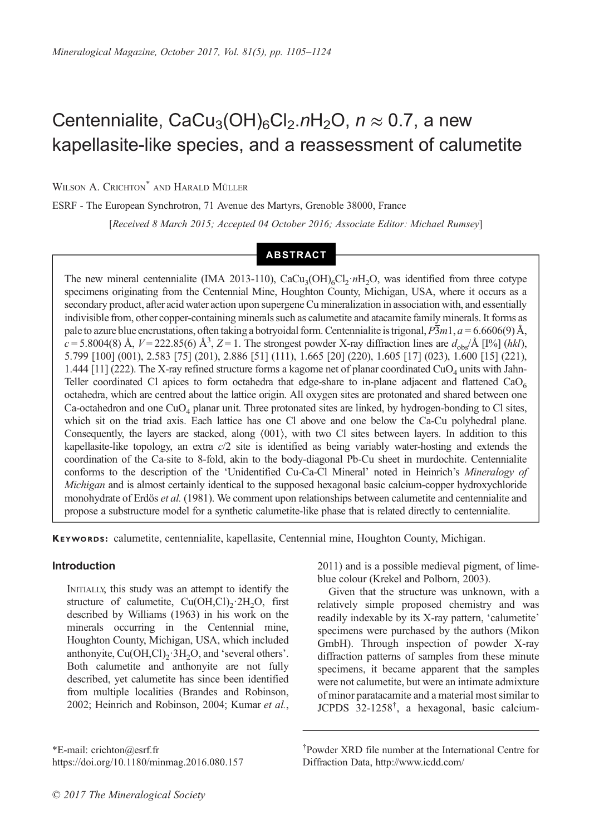# Centennialite, CaCu<sub>3</sub>(OH)<sub>6</sub>Cl<sub>2</sub>.nH<sub>2</sub>O,  $n \approx 0.7$ , a new kapellasite-like species, and a reassessment of calumetite

WILSON A. CRICHTON<sup>\*</sup> AND HARALD MÜLLER

ESRF - The European Synchrotron, 71 Avenue des Martyrs, Grenoble 38000, France [Received 8 March 2015; Accepted 04 October 2016; Associate Editor: Michael Rumsey]

# ABSTRACT

The new mineral centennialite (IMA 2013-110),  $CaCu<sub>3</sub>(OH)<sub>6</sub>Cl<sub>2</sub>·nH<sub>2</sub>O$ , was identified from three cotype specimens originating from the Centennial Mine, Houghton County, Michigan, USA, where it occurs as a secondary product, after acid water action upon supergene Cu mineralization in association with, and essentially indivisible from, other copper-containing minerals such as calumetite and atacamite family minerals. It forms as pale to azure blue encrustations, often taking a botryoidal form. Centennialite is trigonal,  $\overline{P3m1}$ ,  $a = 6.6606(9)$  Å,  $c = 5.8004(8)$  Å,  $V = 222.85(6)$  Å<sup>3</sup>,  $Z = 1$ . The strongest powder X-ray diffraction lines are  $d_{obs}/\text{\AA}$  [1%] (hkl), 5.799 [100] (001), 2.583 [75] (201), 2.886 [51] (111), 1.665 [20] (220), 1.605 [17] (023), 1.600 [15] (221), 1.444 [11] (222). The X-ray refined structure forms a kagome net of planar coordinated CuO<sub>4</sub> units with Jahn-Teller coordinated Cl apices to form octahedra that edge-share to in-plane adjacent and flattened  $CaO<sub>6</sub>$ octahedra, which are centred about the lattice origin. All oxygen sites are protonated and shared between one Ca-octahedron and one  $CuO<sub>4</sub>$  planar unit. Three protonated sites are linked, by hydrogen-bonding to Cl sites, which sit on the triad axis. Each lattice has one Cl above and one below the Ca-Cu polyhedral plane. Consequently, the layers are stacked, along 〈001〉, with two Cl sites between layers. In addition to this kapellasite-like topology, an extra c/2 site is identified as being variably water-hosting and extends the coordination of the Ca-site to 8-fold, akin to the body-diagonal Pb-Cu sheet in murdochite. Centennialite conforms to the description of the 'Unidentified Cu-Ca-Cl Mineral' noted in Heinrich's Mineralogy of Michigan and is almost certainly identical to the supposed hexagonal basic calcium-copper hydroxychloride monohydrate of Erdös *et al.* [\(1981\).](#page-18-0) We comment upon relationships between calumetite and centennialite and propose a substructure model for a synthetic calumetite-like phase that is related directly to centennialite.

KEYWORDS: calumetite, centennialite, kapellasite, Centennial mine, Houghton County, Michigan.

## Introduction

INITIALLY, this study was an attempt to identify the structure of calumetite,  $Cu(OH, Cl)<sub>2</sub>·2H<sub>2</sub>O$ , first described by [Williams \(1963\)](#page-19-0) in his work on the minerals occurring in the Centennial mine, Houghton County, Michigan, USA, which included anthonyite,  $Cu(OH, Cl)_{2} \cdot 3H_{2}O$ , and 'several others'. Both calumetite and anthonyite are not fully described, yet calumetite has since been identified from multiple localities ([Brandes and Robinson,](#page-18-0) [2002](#page-18-0); [Heinrich and Robinson, 2004; Kumar](#page-18-0) et al.,

\*E-mail: crichton@esrf.fr https://doi.org/10.1180/minmag.2016.080.157 [2011](#page-18-0)) and is a possible medieval pigment, of limeblue colour ([Krekel and Polborn, 2003\)](#page-18-0).

Given that the structure was unknown, with a relatively simple proposed chemistry and was readily indexable by its X-ray pattern, 'calumetite' specimens were purchased by the authors (Mikon GmbH). Through inspection of powder X-ray diffraction patterns of samples from these minute specimens, it became apparent that the samples were not calumetite, but were an intimate admixture of minor paratacamite and a material most similar to JCPDS 32-1258<sup>†</sup>, a hexagonal, basic calcium-

<sup>†</sup> Powder XRD file number at the International Centre for Diffraction Data, http://www.icdd.com/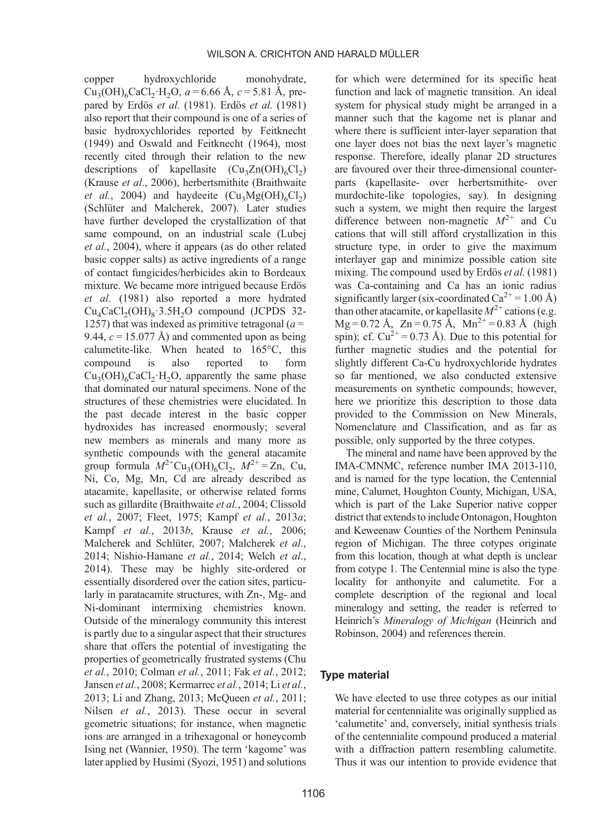copper hydroxychloride monohydrate,  $Cu<sub>3</sub>(OH)<sub>6</sub>CaCl<sub>2</sub>·H<sub>2</sub>O, a = 6.66 Å, c = 5.81 Å, pre$ pared by Erdös et al. [\(1981\).](#page-18-0) Erdös et al. [\(1981\)](#page-18-0) also report that their compound is one of a series of basic hydroxychlorides reported by [Feitknecht](#page-18-0) [\(1949\)](#page-18-0) and [Oswald and Feitknecht \(1964\)](#page-19-0), most recently cited through their relation to the new descriptions of kapellasite  $(Cu_2Zn(OH)_{6}Cl_2)$ (Krause et al[., 2006\)](#page-18-0), herbertsmithite [\(Braithwaite](#page-18-0) et al.[, 2004](#page-18-0)) and haydeeite  $(Cu_3Mg(OH)_6Cl_2)$ ([Schlüter and Malcherek, 2007\)](#page-19-0). Later studies have further developed the crystallization of that same compound, on an industrial scale ([Lubej](#page-19-0) et al.[, 2004](#page-19-0)), where it appears (as do other related basic copper salts) as active ingredients of a range of contact fungicides/herbicides akin to Bordeaux mixture. We became more intrigued because [Erdös](#page-18-0) et al. [\(1981\)](#page-18-0) also reported a more hydrated  $Cu<sub>4</sub>CaCl<sub>2</sub>(OH)<sub>8</sub>·3.5H<sub>2</sub>O$  compound (JCPDS 32-1257) that was indexed as primitive tetragonal  $(a = 1257)$ 9.44,  $c = 15.077$  Å) and commented upon as being calumetite-like. When heated to 165°C, this compound is also reported to form  $Cu<sub>2</sub>(OH)<sub>6</sub>CaCl<sub>2</sub>·H<sub>2</sub>O$ , apparently the same phase that dominated our natural specimens. None of the structures of these chemistries were elucidated. In the past decade interest in the basic copper hydroxides has increased enormously; several new members as minerals and many more as synthetic compounds with the general atacamite group formula  $M^{2+}Cu_3(OH)_6Cl_2$ ,  $M^{2+} = Zn$ , Cu, Ni, Co, Mg, Mn, Cd are already described as atacamite, kapellasite, or otherwise related forms such as gillardite [\(Braithwaite](#page-18-0) et al., 2004; [Clissold](#page-18-0) et al.[, 2007](#page-18-0); [Fleet, 1975](#page-18-0); [Kampf](#page-18-0) et al., 2013a; Kampf et al.[, 2013](#page-18-0)b, Krause et al.[, 2006](#page-18-0); [Malcherek and Schlüter, 2007](#page-19-0); [Malcherek](#page-19-0) et al., [2014; Nishio-Hamane](#page-19-0) et al., 2014; [Welch](#page-19-0) et al., [2014\)](#page-19-0). These may be highly site-ordered or essentially disordered over the cation sites, particularly in paratacamite structures, with Zn-, Mg- and Ni-dominant intermixing chemistries known. Outside of the mineralogy community this interest is partly due to a singular aspect that their structures share that offers the potential of investigating the properties of geometrically frustrated systems [\(Chu](#page-18-0) et al.[, 2010; Colman](#page-18-0) et al., 2011; Fak et al.[, 2012](#page-18-0); [Jansen](#page-18-0) et al., 2008; [Kermarrec](#page-18-0) [et al.](#page-19-0), 2014; Li et al., [2013; Li and Zhang, 2013; McQueen](#page-19-0) et al., 2011; Nilsen et al.[, 2013](#page-19-0)). These occur in several geometric situations; for instance, when magnetic ions are arranged in a trihexagonal or honeycomb Ising net [\(Wannier, 1950](#page-19-0)). The term 'kagome' was later applied by Husimi ([Syozi, 1951\)](#page-19-0) and solutions

for which were determined for its specific heat function and lack of magnetic transition. An ideal system for physical study might be arranged in a manner such that the kagome net is planar and where there is sufficient inter-layer separation that one layer does not bias the next layer's magnetic response. Therefore, ideally planar 2D structures are favoured over their three-dimensional counterparts (kapellasite- over herbertsmithite- over murdochite-like topologies, say). In designing such a system, we might then require the largest difference between non-magnetic  $M^{2+}$  and Cu cations that will still afford crystallization in this structure type, in order to give the maximum interlayer gap and minimize possible cation site mixing. [The compound used by Erdös](#page-18-0) et al. (1981) was Ca-containing and Ca has an ionic radius significantly larger (six-coordinated  $Ca^{2+} = 1.00$  Å) than other atacamite, or kapellasite  $M^{2+}$  cations (e.g.  $Mg = 0.72$  Å,  $Zn = 0.75$  Å,  $Mn^{2+} = 0.83$  Å (high spin); cf.  $Cu^{2+} = 0.73$  Å). Due to this potential for further magnetic studies and the potential for slightly different Ca-Cu hydroxychloride hydrates so far mentioned, we also conducted extensive measurements on synthetic compounds; however, here we prioritize this description to those data provided to the Commission on New Minerals, Nomenclature and Classification, and as far as possible, only supported by the three cotypes.

The mineral and name have been approved by the IMA-CMNMC, reference number IMA 2013-110, and is named for the type location, the Centennial mine, Calumet, Houghton County, Michigan, USA, which is part of the Lake Superior native copper district that extends to include Ontonagon, Houghton and Keweenaw Counties of the Northern Peninsula region of Michigan. The three cotypes originate from this location, though at what depth is unclear from cotype 1. The Centennial mine is also the type locality for anthonyite and calumetite. For a complete description of the regional and local mineralogy and setting, the reader is referred to Heinrich's Mineralogy of Michigan ([Heinrich and](#page-18-0) [Robinson, 2004](#page-18-0)) and references therein.

#### Type material

We have elected to use three cotypes as our initial material for centennialite was originally supplied as 'calumetite' and, conversely, initial synthesis trials of the centennialite compound produced a material with a diffraction pattern resembling calumetite. Thus it was our intention to provide evidence that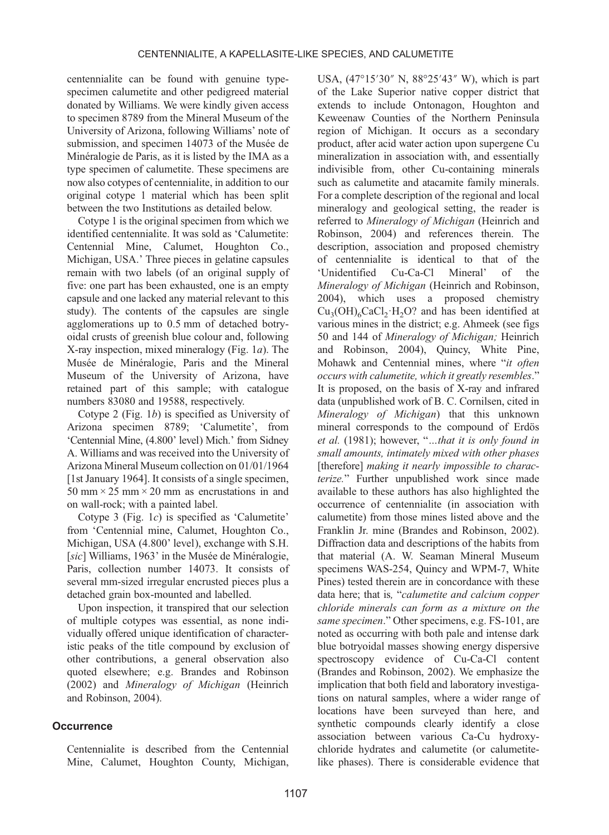centennialite can be found with genuine typespecimen calumetite and other pedigreed material donated by Williams. We were kindly given access to specimen 8789 from the Mineral Museum of the University of Arizona, following Williams' note of submission, and specimen 14073 of the Musée de Minéralogie de Paris, as it is listed by the IMA as a type specimen of calumetite. These specimens are now also cotypes of centennialite, in addition to our original cotype 1 material which has been split between the two Institutions as detailed below.

Cotype 1 is the original specimen from which we identified centennialite. It was sold as 'Calumetite: Centennial Mine, Calumet, Houghton Co., Michigan, USA.' Three pieces in gelatine capsules remain with two labels (of an original supply of five: one part has been exhausted, one is an empty capsule and one lacked any material relevant to this study). The contents of the capsules are single agglomerations up to 0.5 mm of detached botryoidal crusts of greenish blue colour and, following X-ray inspection, mixed mineralogy (Fig.  $1a$ ). The Musée de Minéralogie, Paris and the Mineral Museum of the University of Arizona, have retained part of this sample; with catalogue numbers 83080 and 19588, respectively.

Cotype 2 [\(Fig. 1](#page-3-0)b) is specified as University of Arizona specimen 8789; 'Calumetite', from 'Centennial Mine, (4.800' level) Mich.' from Sidney A. Williams and was received into the University of Arizona Mineral Museum collection on 01/01/1964 [1st January 1964]. It consists of a single specimen, 50 mm  $\times$  25 mm  $\times$  20 mm as encrustations in and on wall-rock; with a painted label.

Cotype 3 [\(Fig. 1](#page-3-0)c) is specified as 'Calumetite' from 'Centennial mine, Calumet, Houghton Co., Michigan, USA (4.800' level), exchange with S.H. [sic] [Williams, 1963](#page-19-0)' in the Musée de Minéralogie, Paris, collection number 14073. It consists of several mm-sized irregular encrusted pieces plus a detached grain box-mounted and labelled.

Upon inspection, it transpired that our selection of multiple cotypes was essential, as none individually offered unique identification of characteristic peaks of the title compound by exclusion of other contributions, a general observation also quoted elsewhere; e.g. [Brandes and Robinson](#page-18-0) [\(2002\)](#page-18-0) and Mineralogy of Michigan [\(Heinrich](#page-18-0) [and Robinson, 2004\)](#page-18-0).

## **Occurrence**

Centennialite is described from the Centennial Mine, Calumet, Houghton County, Michigan,

USA, (47°15′30″ N, 88°25′43″ W), which is part of the Lake Superior native copper district that extends to include Ontonagon, Houghton and Keweenaw Counties of the Northern Peninsula region of Michigan. It occurs as a secondary product, after acid water action upon supergene Cu mineralization in association with, and essentially indivisible from, other Cu-containing minerals such as calumetite and atacamite family minerals. For a complete description of the regional and local mineralogy and geological setting, the reader is referred to Mineralogy of Michigan [\(Heinrich and](#page-18-0) [Robinson, 2004\)](#page-18-0) and references therein. The description, association and proposed chemistry of centennialite is identical to that of the<br>
'Unidentified Cu-Ca-Cl Mineral' of the 'Unidentified Cu-Ca-Cl Mineral' of the Mineralogy of Michigan ([Heinrich and Robinson,](#page-18-0) [2004\)](#page-18-0), which uses a proposed chemistry  $Cu<sub>2</sub>(OH)<sub>6</sub>CaCl<sub>2</sub>·H<sub>2</sub>O?$  and has been identified at various mines in the district; e.g. Ahmeek (see figs 50 and 144 of Mineralogy of Michigan; [Heinrich](#page-18-0) [and Robinson, 2004](#page-18-0)), Quincy, White Pine, Mohawk and Centennial mines, where "it often occurs with calumetite, which it greatly resembles." It is proposed, on the basis of X-ray and infrared data (unpublished work of B. C. Cornilsen, cited in Mineralogy of Michigan) that this unknown mineral corresponds to the compound of [Erdös](#page-18-0) et al. [\(1981\)](#page-18-0); however, "…that it is only found in small amounts, intimately mixed with other phases [therefore] making it nearly impossible to characterize." Further unpublished work since made available to these authors has also highlighted the occurrence of centennialite (in association with calumetite) from those mines listed above and the Franklin Jr. mine ([Brandes and Robinson, 2002](#page-18-0)). Diffraction data and descriptions of the habits from that material (A. W. Seaman Mineral Museum specimens WAS-254, Quincy and WPM-7, White Pines) tested therein are in concordance with these data here; that is, "calumetite and calcium copper chloride minerals can form as a mixture on the same specimen." Other specimens, e.g. FS-101, are noted as occurring with both pale and intense dark blue botryoidal masses showing energy dispersive spectroscopy evidence of Cu-Ca-Cl content ([Brandes and Robinson, 2002](#page-18-0)). We emphasize the implication that both field and laboratory investigations on natural samples, where a wider range of locations have been surveyed than here, and synthetic compounds clearly identify a close association between various Ca-Cu hydroxychloride hydrates and calumetite (or calumetitelike phases). There is considerable evidence that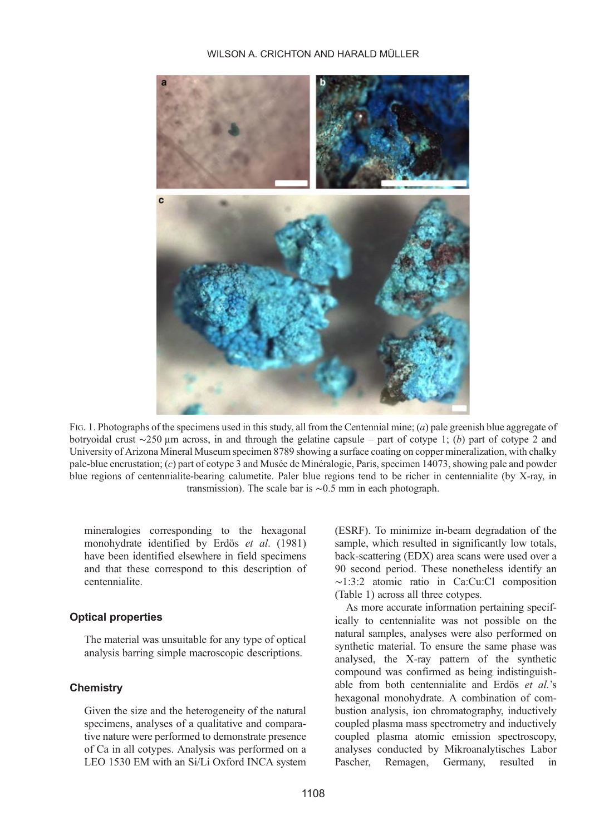WILSON A. CRICHTON AND HARALD MÜLLER

<span id="page-3-0"></span>

FIG. 1. Photographs of the specimens used in this study, all from the Centennial mine; (*a*) pale greenish blue aggregate of botryoidal crust ∼250 µm across, in and through the gelatine capsule – part of cotype 1; (b) part of cotype 2 and University of Arizona Mineral Museum specimen 8789 showing a surface coating on copper mineralization, with chalky pale-blue encrustation; (c) part of cotype 3 and Musée de Minéralogie, Paris, specimen 14073, showing pale and powder blue regions of centennialite-bearing calumetite. Paler blue regions tend to be richer in centennialite (by X-ray, in transmission). The scale bar is ∼0.5 mm in each photograph.

mineralogies corresponding to the hexagonal monohydrate identified by Erdös et al[. \(1981\)](#page-18-0) have been identified elsewhere in field specimens and that these correspond to this description of centennialite.

## Optical properties

The material was unsuitable for any type of optical analysis barring simple macroscopic descriptions.

## **Chemistry**

Given the size and the heterogeneity of the natural specimens, analyses of a qualitative and comparative nature were performed to demonstrate presence of Ca in all cotypes. Analysis was performed on a LEO 1530 EM with an Si/Li Oxford INCA system (ESRF). To minimize in-beam degradation of the sample, which resulted in significantly low totals, back-scattering (EDX) area scans were used over a 90 second period. These nonetheless identify an ∼1:3:2 atomic ratio in Ca:Cu:Cl composition ([Table 1](#page-4-0)) across all three cotypes.

As more accurate information pertaining specifically to centennialite was not possible on the natural samples, analyses were also performed on synthetic material. To ensure the same phase was analysed, the X-ray pattern of the synthetic compound was confirmed as being indistinguishable from both centennialite and Erdös et al.'s hexagonal monohydrate. A combination of combustion analysis, ion chromatography, inductively coupled plasma mass spectrometry and inductively coupled plasma atomic emission spectroscopy, analyses conducted by Mikroanalytisches Labor Pascher, Remagen, Germany, resulted in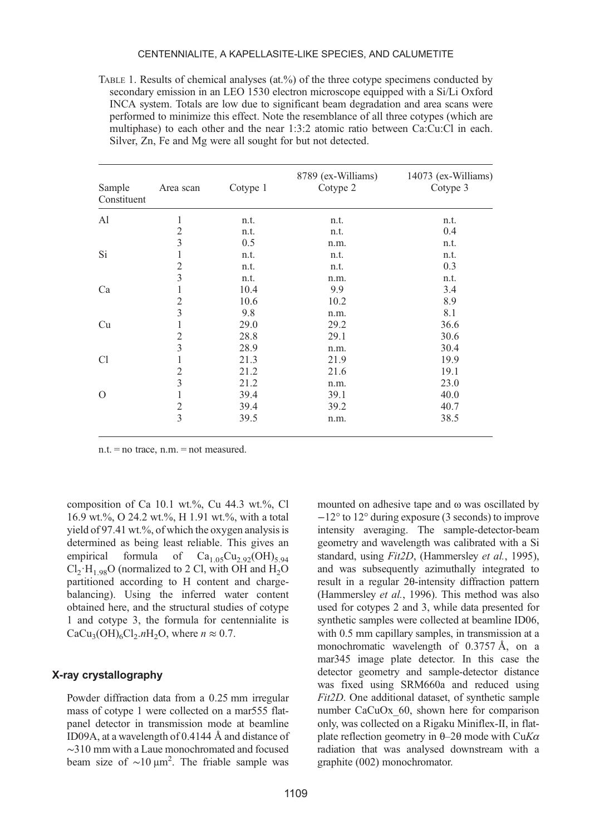#### CENTENNIALITE, A KAPELLASITE-LIKE SPECIES, AND CALUMETITE

<span id="page-4-0"></span>TABLE 1. Results of chemical analyses (at.%) of the three cotype specimens conducted by secondary emission in an LEO 1530 electron microscope equipped with a Si/Li Oxford INCA system. Totals are low due to significant beam degradation and area scans were performed to minimize this effect. Note the resemblance of all three cotypes (which are multiphase) to each other and the near 1:3:2 atomic ratio between Ca:Cu:Cl in each. Silver, Zn, Fe and Mg were all sought for but not detected.

| Sample<br>Constituent | Area scan      | Cotype 1 | 8789 (ex-Williams)<br>Cotype 2 | 14073 (ex-Williams)<br>Cotype 3 |
|-----------------------|----------------|----------|--------------------------------|---------------------------------|
| A1                    | 1              | n.t.     | n.t.                           | n.t.                            |
|                       | $\overline{c}$ | n.t.     | n.t.                           | 0.4                             |
|                       | 3              | 0.5      | n.m.                           | n.t.                            |
| Si                    | 1              | n.t.     | n.t.                           | n.t.                            |
|                       | 2              | n.t.     | n.t.                           | 0.3                             |
|                       | 3              | n.t.     | n.m.                           | n.t.                            |
| Ca                    |                | 10.4     | 9.9                            | 3.4                             |
|                       | $\overline{2}$ | 10.6     | 10.2                           | 8.9                             |
|                       | 3              | 9.8      | n.m.                           | 8.1                             |
| Cu                    | 1              | 29.0     | 29.2                           | 36.6                            |
|                       | $\overline{2}$ | 28.8     | 29.1                           | 30.6                            |
|                       | 3              | 28.9     | n.m.                           | 30.4                            |
| C1                    | 1              | 21.3     | 21.9                           | 19.9                            |
|                       | 2              | 21.2     | 21.6                           | 19.1                            |
|                       | 3              | 21.2     | n.m.                           | 23.0                            |
| $\Omega$              |                | 39.4     | 39.1                           | 40.0                            |
|                       | $\mathfrak{2}$ | 39.4     | 39.2                           | 40.7                            |
|                       | 3              | 39.5     | n.m.                           | 38.5                            |

n.t. = no trace, n.m. = not measured.

composition of Ca 10.1 wt.%, Cu  $44.3$  wt.%, Cl 16.9 wt.%, O 24.2 wt.%, H 1.91 wt.%, with a total yield of 97.41 wt.%, of which the oxygen analysis is determined as being least reliable. This gives an empirical formula of  $Ca<sub>1.05</sub>Cu<sub>2.92</sub>(OH)<sub>5.94</sub>$  $Cl_2 \cdot H_{1.98}O$  (normalized to 2 Cl, with OH and H<sub>2</sub>O partitioned according to H content and chargebalancing). Using the inferred water content obtained here, and the structural studies of cotype 1 and cotype 3, the formula for centennialite is  $CaCu<sub>3</sub>(OH)<sub>6</sub>Cl<sub>2</sub>.nH<sub>2</sub>O$ , where  $n \approx 0.7$ .

## X-ray crystallography

Powder diffraction data from a 0.25 mm irregular mass of cotype 1 were collected on a mar555 flatpanel detector in transmission mode at beamline ID09A, at a wavelength of 0.4144 Å and distance of ∼310 mm with a Laue monochromated and focused beam size of  $\sim$ 10 μm<sup>2</sup>. The friable sample was

mounted on adhesive tape and ω was oscillated by −12° to 12° during exposure (3 seconds) to improve intensity averaging. The sample-detector-beam geometry and wavelength was calibrated with a Si standard, using Fit2D, [\(Hammersley](#page-18-0) et al., 1995), and was subsequently azimuthally integrated to result in a regular 2θ-intensity diffraction pattern [\(Hammersley](#page-18-0) et al., 1996). This method was also used for cotypes 2 and 3, while data presented for synthetic samples were collected at beamline ID06, with 0.5 mm capillary samples, in transmission at a monochromatic wavelength of 0.3757 Å, on a mar345 image plate detector. In this case the detector geometry and sample-detector distance was fixed using SRM660a and reduced using Fit2D. One additional dataset, of synthetic sample number CaCuOx 60, shown here for comparison only, was collected on a Rigaku Miniflex-II, in flatplate reflection geometry in  $\theta$ –2 $\theta$  mode with CuK $\alpha$ radiation that was analysed downstream with a graphite (002) monochromator.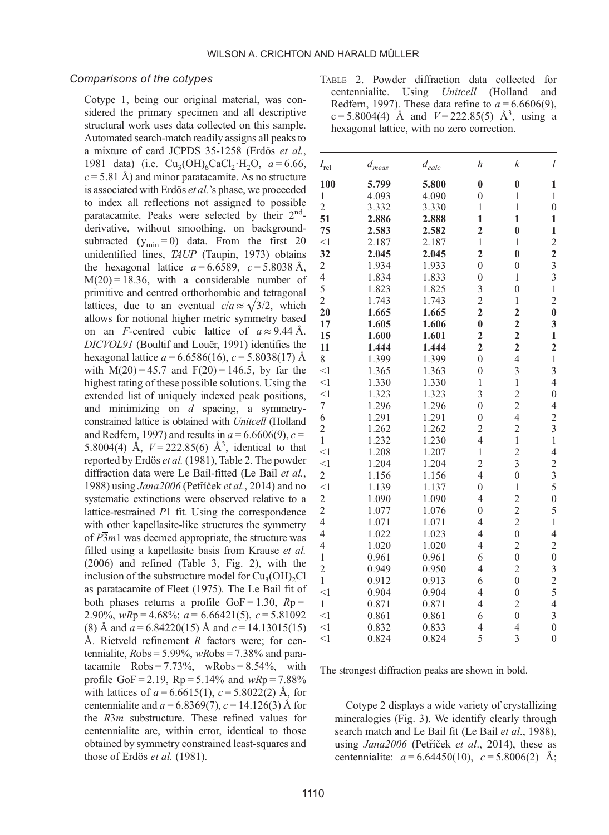### <span id="page-5-0"></span>Comparisons of the cotypes

Cotype 1, being our original material, was considered the primary specimen and all descriptive structural work uses data collected on this sample. Automated search-match readily assigns all peaks to a mixture of card JCPDS 35-1258 ([Erdös](#page-18-0) et al., [1981](#page-18-0) data) (i.e.  $Cu_2(OH)_6CaCl_2·H_2O$ ,  $a = 6.66$ ,  $c = 5.81$  Å) and minor paratacamite. As no structure is associated with Erdös et al.'s phase, we proceeded to index all reflections not assigned to possible paratacamite. Peaks were selected by their 2<sup>nd</sup>derivative, without smoothing, on backgroundsubtracted  $(y_{\text{min}} = 0)$  data. From the first 20 unidentified lines, TAUP ([Taupin, 1973\)](#page-19-0) obtains the hexagonal lattice  $a = 6.6589$ ,  $c = 5.8038$  Å,  $M(20) = 18.36$ , with a considerable number of primitive and centred orthorhombic and tetragonal lattices, due to an eventual  $c/a \approx \sqrt{3}/2$ , which allows for notional higher metric symmetry based on an F-centred cubic lattice of  $a \approx 9.44$  Å. DICVOL91 [\(Boultif and Louër, 1991](#page-18-0)) identifies the hexagonal lattice  $a = 6.6586(16)$ ,  $c = 5.8038(17)$  Å with  $M(20) = 45.7$  and  $F(20) = 146.5$ , by far the highest rating of these possible solutions. Using the extended list of uniquely indexed peak positions, and minimizing on  $d$  spacing, a symmetryconstrained lattice is obtained with Unitcell [\(Holland](#page-18-0) [and Redfern, 1997](#page-18-0)) and results in  $a = 6.6606(9)$ ,  $c =$ 5.8004(4) Å,  $V = 222.85(6)$  Å<sup>3</sup>, identical to that reported by Erdös et al. [\(1981\),](#page-18-0) Table 2. The powder diffraction data were Le Bail-fitted [\(Le Bail](#page-19-0) et al., [1988\)](#page-19-0) using Jana2006 (Petříček et al.[, 2014](#page-19-0)) and no systematic extinctions were observed relative to a lattice-restrained P1 fit. Using the correspondence with other kapellasite-like structures the symmetry of  $\overline{P3}m1$  was deemed appropriate, the structure was filled using a kapellasite basis from [Krause](#page-18-0) et al. [\(2006\)](#page-18-0) and refined ([Table 3,](#page-6-0) [Fig. 2\)](#page-7-0), with the inclusion of the substructure model for  $Cu<sub>3</sub>(OH)<sub>2</sub>Cl$ as paratacamite of [Fleet \(1975\)](#page-18-0). The Le Bail fit of both phases returns a profile  $GoF = 1.30$ ,  $Rp =$ 2.90%,  $wRp = 4.68\%$ ;  $a = 6.66421(5)$ ,  $c = 5.81092$ (8) Å and  $a = 6.84220(15)$  Å and  $c = 14.13015(15)$ Å. Rietveld refinement  $R$  factors were; for centennialite,  $Robs = 5.99\%$ ,  $wRobs = 7.38\%$  and paratacamite  $Robs = 7.73\%$ , wRobs =  $8.54\%$ , with profile GoF = 2.19,  $Rp = 5.14\%$  and  $wRp = 7.88\%$ with lattices of  $a = 6.6615(1)$ ,  $c = 5.8022(2)$  Å, for centennialite and  $a = 6.8369(7)$ ,  $c = 14.126(3)$  Å for the  $R\overline{3}m$  substructure. These refined values for centennialite are, within error, identical to those obtained by symmetry constrained least-squares and those of Erdös et al. (1981).

TABLE 2. Powder diffraction data collected for centennialite. Using *Unitcell* (Holland and Redfern, 1997). These data refine to  $a = 6.6606(9)$ ,  $c = 5.8004(4)$  Å and  $V = 222.85(5)$  Å<sup>3</sup>, using a hexagonal lattice, with no zero correction.

| $I_{rel}$                | $d_{\it meas}$ | $d_{calc}$ | $\boldsymbol{h}$        | $\boldsymbol{k}$        | $\mathfrak l$                              |
|--------------------------|----------------|------------|-------------------------|-------------------------|--------------------------------------------|
| 100                      | 5.799          | 5.800      | $\bf{0}$                | $\bf{0}$                | $\mathbf{1}$                               |
| $\mathbf{1}$             | 4.093          | 4.090      | $\overline{0}$          | $\mathbf{1}$            | $\mathbf{1}$                               |
| $\overline{c}$           | 3.332          | 3.330      | $\mathbf{1}$            | $\mathbf{1}$            | $\overline{0}$                             |
| 51                       | 2.886          | 2.888      | $\mathbf{1}$            | $\mathbf{1}$            | $\mathbf{1}$                               |
| 75                       | 2.583          | 2.582      | $\overline{2}$          | $\bf{0}$                | $\mathbf{1}$                               |
| $\leq$ 1                 | 2.187          | 2.187      | $\mathbf{1}$            | $\mathbf{1}$            |                                            |
| 32                       | 2.045          | 2.045      | $\overline{2}$          | $\bf{0}$                | $\frac{2}{2}$                              |
| $\overline{\mathbf{c}}$  | 1.934          | 1.933      | $\overline{0}$          | $\mathbf{0}$            | $\overline{3}$                             |
| $\overline{\mathcal{L}}$ | 1.834          | 1.833      | $\mathbf{0}$            | $\overline{1}$          | $\overline{3}$                             |
| $\frac{5}{2}$            | 1.823          | 1.825      | $\frac{3}{2}$           | $\overline{0}$          | $\,1$                                      |
|                          | 1.743          | 1.743      |                         | $\mathbf{1}$            | $\overline{c}$                             |
| 20                       | 1.665          | 1.665      | $\overline{2}$          | $\overline{\mathbf{c}}$ | $\bf{0}$                                   |
| 17                       | 1.605          | 1.606      | $\bf{0}$                | $\overline{\mathbf{c}}$ | 3                                          |
| 15                       | 1.600          | 1.601      | $\overline{\mathbf{c}}$ | $\overline{\mathbf{c}}$ | $\mathbf{1}$                               |
| 11                       | 1.444          | 1.444      | $\overline{2}$          | $\overline{\mathbf{c}}$ | $\overline{2}$                             |
| 8                        | 1.399          | 1.399      | $\overline{0}$          | $\overline{4}$          | $\,1\,$                                    |
| $\leq$ 1                 | 1.365          | 1.363      | $\overline{0}$          | 3                       | 3                                          |
| $<$ 1                    | 1.330          | 1.330      | $\mathbf{1}$            | $\mathbf{1}$            | $\overline{4}$                             |
| $\leq$ 1                 | 1.323          | 1.323      | 3                       | $\frac{2}{2}$           | $\mathbf{0}$                               |
| $\overline{7}$           | 1.296          | 1.296      | $\overline{0}$          |                         | $\overline{4}$                             |
| 6                        | 1.291          | 1.291      | $\mathbf{0}$            | $\overline{4}$          | $\overline{c}$                             |
| $\overline{c}$           | 1.262          | 1.262      | $\overline{c}$          | $\overline{c}$          | $\overline{\mathbf{3}}$                    |
| $\mathbf{1}$             | 1.232          | 1.230      | $\overline{4}$          | $\mathbf{1}$            | $\mathbf{1}$                               |
| $\leq$ 1                 | 1.208          | 1.207      | $\mathbf{1}$            | $\overline{\mathbf{c}}$ | $\overline{\mathcal{A}}$                   |
| $\leq$ 1                 | 1.204          | 1.204      | $\overline{c}$          | $\overline{\mathbf{3}}$ | $\overline{c}$                             |
| $\overline{\mathbf{c}}$  | 1.156          | 1.156      | $\overline{4}$          | $\overline{0}$          | $rac{3}{5}$                                |
| $<$ 1                    | 1.139          | 1.137      | $\overline{0}$          | $\mathbf{1}$            |                                            |
| $\frac{2}{2}$            | 1.090          | 1.090      | $\overline{4}$          | $\overline{c}$          | $\overline{0}$                             |
|                          | 1.077          | 1.076      | $\mathbf{0}$            | $\overline{c}$          | 5                                          |
| $\overline{4}$           | 1.071          | 1.071      | $\overline{4}$          | $\overline{c}$          | $\,1$                                      |
| $\overline{4}$           | 1.022          | 1.023      | $\overline{4}$          | $\overline{0}$          | $\overline{4}$                             |
| $\overline{4}$           | 1.020          | 1.020      | $\overline{4}$          | $\overline{c}$          | $\overline{c}$                             |
| $\,1$                    | 0.961          | 0.961      | 6                       | $\overline{0}$          | $\overline{0}$                             |
| $\overline{c}$           | 0.949          | 0.950      | $\overline{4}$          | $\overline{c}$          | $\begin{array}{c} 3 \\ 2 \\ 5 \end{array}$ |
| $\mathbf{1}$             | 0.912          | 0.913      | 6                       | $\overline{0}$          |                                            |
| $<$ 1                    | 0.904          | 0.904      | $\overline{4}$          | $\boldsymbol{0}$        |                                            |
| $\,1$                    | 0.871          | 0.871      | $\overline{4}$          | $\overline{c}$          | $\overline{4}$                             |
| $\leq$ 1                 | 0.861          | 0.861      | 6                       | $\overline{0}$          | $\overline{\mathbf{3}}$                    |
| $<$ 1                    | 0.832          | 0.833      | 4                       | $\overline{4}$          | $\mathbf{0}$                               |
| $<$ 1                    | 0.824          | 0.824      | 5                       | 3                       | $\overline{0}$                             |
|                          |                |            |                         |                         |                                            |

The strongest diffraction peaks are shown in bold.

Cotype 2 displays a wide variety of crystallizing mineralogies [\(Fig. 3\)](#page-7-0). We identify clearly through search match and Le Bail fit [\(Le Bail](#page-19-0) et al., 1988), using Jana2006 (Petříček et al[., 2014\)](#page-19-0), these as centennialite:  $a = 6.64450(10)$ ,  $c = 5.8006(2)$  Å;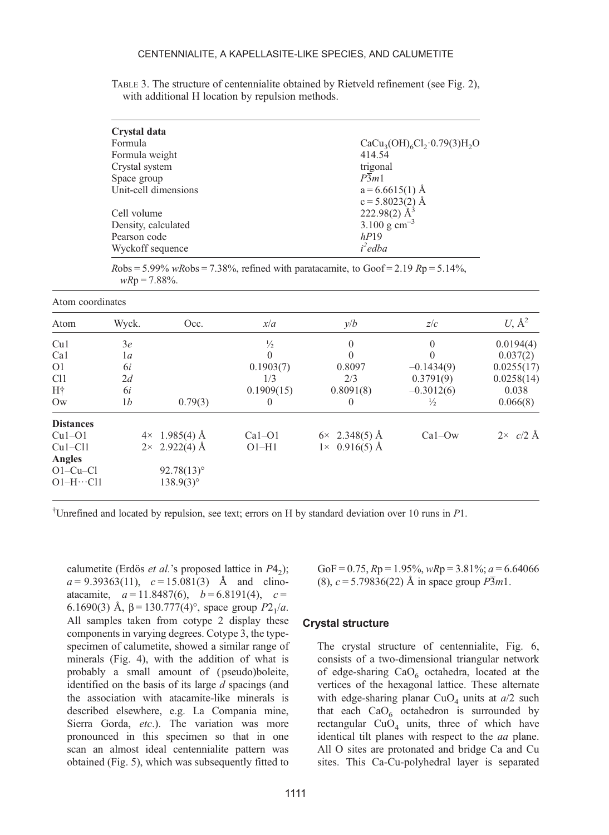<span id="page-6-0"></span>TABLE 3. The structure of centennialite obtained by Rietveld refinement (see [Fig. 2\)](#page-7-0), with additional H location by repulsion methods.

| Crystal data         |                                             |
|----------------------|---------------------------------------------|
| Formula              | $CaCu3(OH)6Cl2·0.79(3)H2O$                  |
| Formula weight       | 414.54                                      |
| Crystal system       | trigonal                                    |
| Space group          | P3m1                                        |
| Unit-cell dimensions | $a = 6.6615(1)$ Å                           |
|                      | c = 5.8023(2) Å<br>222.98(2) Å <sup>3</sup> |
| Cell volume          |                                             |
| Density, calculated  | 3.100 g $\text{cm}^{-3}$                    |
| Pearson code         | hP19                                        |
| Wyckoff sequence     | i <sup>2</sup> edba                         |

 $Robs = 5.99\%$  wRobs = 7.38%, refined with paratacamite, to  $Goof = 2.19$   $Rp = 5.14\%$ ,  $wRp = 7.88\%$ .

| Atom             | Wyck.          | Occ.                  | x/a           | y/b                   | z/c           | U, $\mathring{A}^2$ |
|------------------|----------------|-----------------------|---------------|-----------------------|---------------|---------------------|
| Cu1              | 3e             |                       | $\frac{1}{2}$ | $\theta$              | $\mathbf{0}$  | 0.0194(4)           |
| Ca1              | 1a             |                       | $\Omega$      | $\Omega$              |               | 0.037(2)            |
| O <sub>1</sub>   | 6i             |                       | 0.1903(7)     | 0.8097                | $-0.1434(9)$  | 0.0255(17)          |
| C <sub>11</sub>  | 2d             |                       | 1/3           | 2/3                   | 0.3791(9)     | 0.0258(14)          |
| Η†               | 6i             |                       | 0.1909(15)    | 0.8091(8)             | $-0.3012(6)$  | 0.038               |
| $\rm_{OW}$       | 1 <sub>b</sub> | 0.79(3)               | 0             | $\theta$              | $\frac{1}{2}$ | 0.066(8)            |
| <b>Distances</b> |                |                       |               |                       |               |                     |
| $Cu1-O1$         |                | $4 \times 1.985(4)$ Å | $Ca1-O1$      | $6 \times 2.348(5)$ Å | $Ca1-Ow$      | $2 \times c/2$ Å    |
| $Cu1-C11$        |                | $2 \times 2.922(4)$ Å | $O1-H1$       | $1 \times 0.916(5)$ Å |               |                     |
| Angles           |                |                       |               |                       |               |                     |
| $O1-Cu-Cl$       |                | $92.78(13)$ °         |               |                       |               |                     |
| $O1-H\cdots Cl1$ |                | $138.9(3)$ °          |               |                       |               |                     |

† Unrefined and located by repulsion, see text; errors on H by standard deviation over 10 runs in P1.

calumetite (Erdös *et al.*'s proposed lattice in  $P4_2$ );  $a = 9.39363(11)$ ,  $c = 15.081(3)$  Å and clinoatacamite,  $a = 11.8487(6)$ ,  $b = 6.8191(4)$ ,  $c =$ 6.1690(3) Å,  $\beta$  = 130.777(4)°, space group  $P2_1/a$ . All samples taken from cotype 2 display these components in varying degrees. Cotype 3, the typespecimen of calumetite, showed a similar range of minerals [\(Fig. 4\)](#page-8-0), with the addition of what is probably a small amount of ( pseudo)boleite, identified on the basis of its large  $d$  spacings (and the association with atacamite-like minerals is described elsewhere, e.g. La Compania mine, Sierra Gorda, etc.). The variation was more pronounced in this specimen so that in one scan an almost ideal centennialite pattern was obtained [\(Fig. 5](#page-8-0)), which was subsequently fitted to

1111

GoF = 0.75,  $Rp = 1.95\%$ ,  $wRp = 3.81\%$ ;  $a = 6.64066$ (8),  $c = 5.79836(22)$  Å in space group  $\overline{P3}m1$ .

#### Crystal structure

The crystal structure of centennialite, [Fig. 6](#page-9-0), consists of a two-dimensional triangular network of edge-sharing  $CaO<sub>6</sub>$  octahedra, located at the vertices of the hexagonal lattice. These alternate with edge-sharing planar  $CuO<sub>4</sub>$  units at  $a/2$  such that each  $CaO<sub>6</sub>$  octahedron is surrounded by rectangular  $CuO<sub>4</sub>$  units, three of which have identical tilt planes with respect to the aa plane. All O sites are protonated and bridge Ca and Cu sites. This Ca-Cu-polyhedral layer is separated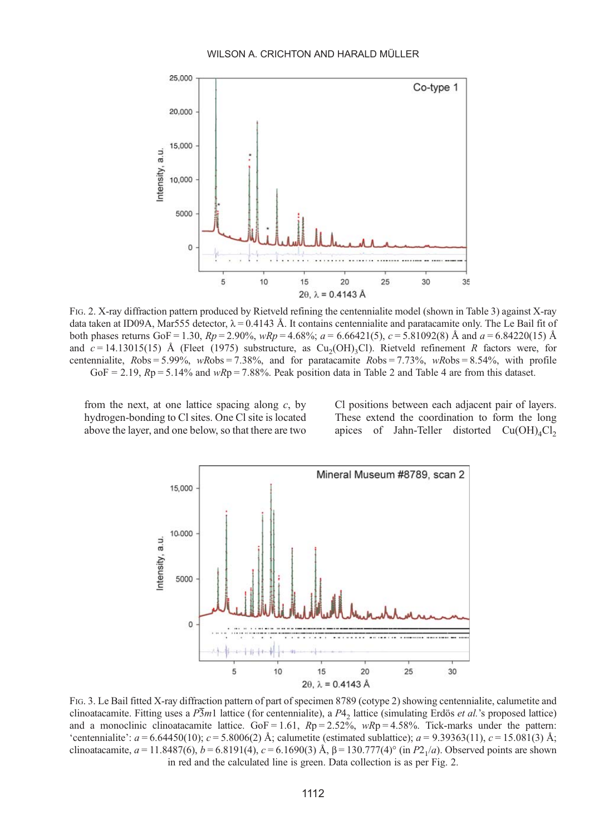#### WILSON A. CRICHTON AND HARALD MÜLLER

<span id="page-7-0"></span>

FIG. 2. X-ray diffraction pattern produced by Rietveld refining the centennialite model (shown in [Table 3](#page-6-0)) against X-ray data taken at ID09A, Mar555 detector,  $\lambda = 0.4143$  Å. It contains centennialite and paratacamite only. The Le Bail fit of both phases returns GoF = 1.30,  $Rp = 2.90\%$ ,  $wRp = 4.68\%$ ;  $a = 6.66421(5)$ ,  $c = 5.81092(8)$  Å and  $a = 6.84220(15)$  Å and  $c = 14.13015(15)$  Å ([Fleet \(1975\)](#page-18-0) substructure, as Cu<sub>2</sub>(OH)<sub>3</sub>Cl). Rietveld refinement R factors were, for centennialite,  $Robs = 5.99\%$ , wRobs = 7.38%, and for paratacamite  $Robs = 7.73\%$ , wRobs = 8.54%, with profile GoF = 2.19,  $Rp = 5.14\%$  and  $wRp = 7.88\%$ . Peak position data in [Table 2](#page-5-0) and [Table 4](#page-10-0) are from this dataset.

from the next, at one lattice spacing along  $c$ , by hydrogen-bonding to Cl sites. One Cl site is located above the layer, and one below, so that there are two Cl positions between each adjacent pair of layers. These extend the coordination to form the long apices of Jahn-Teller distorted  $Cu(OH)<sub>4</sub>Cl<sub>2</sub>$ 



FIG. 3. Le Bail fitted X-ray diffraction pattern of part of specimen 8789 (cotype 2) showing centennialite, calumetite and clinoatacamite. Fitting uses a  $\overline{P3m1}$  lattice (for centennialite), a  $P4<sub>2</sub>$  lattice (simulating Erdös *et al.*'s proposed lattice) and a monoclinic clinoatacamite lattice.  $GoF = 1.61$ ,  $Rp = 2.52\%$ ,  $wRp = 4.58\%$ . Tick-marks under the pattern: 'centennialite':  $a = 6.64450(10)$ ;  $c = 5.8006(2)$  Å; calumetite (estimated sublattice);  $a = 9.39363(11)$ ,  $c = 15.081(3)$  Å; clinoatacamite,  $a = 11.8487(6)$ ,  $b = 6.8191(4)$ ,  $c = 6.1690(3)$  Å,  $\beta = 130.777(4)°$  (in P2<sub>1</sub>/a). Observed points are shown in red and the calculated line is green. Data collection is as per Fig. 2.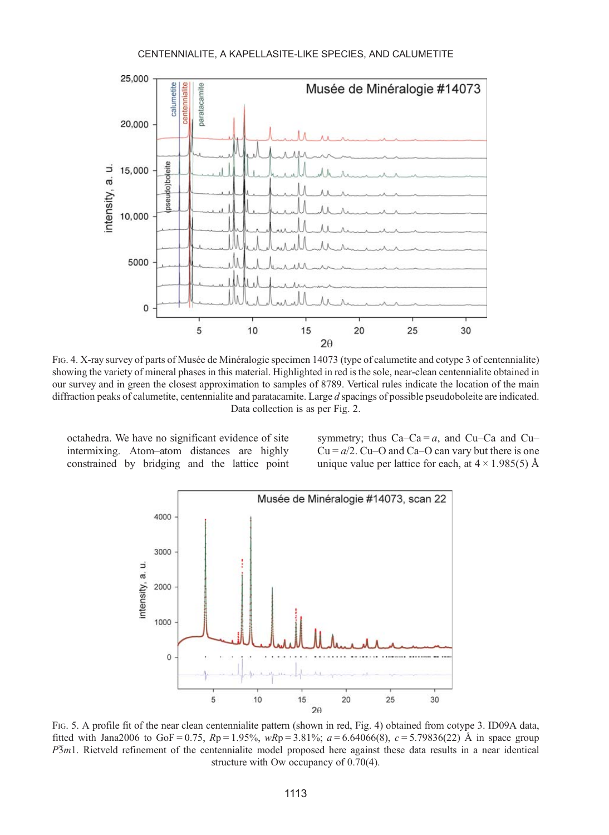#### CENTENNIALITE, A KAPELLASITE-LIKE SPECIES, AND CALUMETITE

<span id="page-8-0"></span>

FIG. 4. X-ray survey of parts of Musée de Minéralogie specimen 14073 (type of calumetite and cotype 3 of centennialite) showing the variety of mineral phases in this material. Highlighted in red is the sole, near-clean centennialite obtained in our survey and in green the closest approximation to samples of 8789. Vertical rules indicate the location of the main diffraction peaks of calumetite, centennialite and paratacamite. Large d spacings of possible pseudoboleite are indicated. Data collection is as per [Fig. 2.](#page-7-0)

octahedra. We have no significant evidence of site intermixing. Atom–atom distances are highly constrained by bridging and the lattice point symmetry; thus  $Ca-Ca = a$ , and  $Cu-Ca$  and  $Cu Cu = a/2$ . Cu–O and Ca–O can vary but there is one unique value per lattice for each, at  $4 \times 1.985(5)$  Å



FIG. 5. A profile fit of the near clean centennialite pattern (shown in red, Fig. 4) obtained from cotype 3. ID09A data, fitted with Jana2006 to GoF = 0.75,  $Rp = 1.95\%$ ,  $wRp = 3.81\%$ ;  $a = 6.64066(8)$ ,  $c = 5.79836(22)$  Å in space group  $\overline{P3m1}$ . Rietveld refinement of the centennialite model proposed here against these data results in a near identical structure with Ow occupancy of 0.70(4).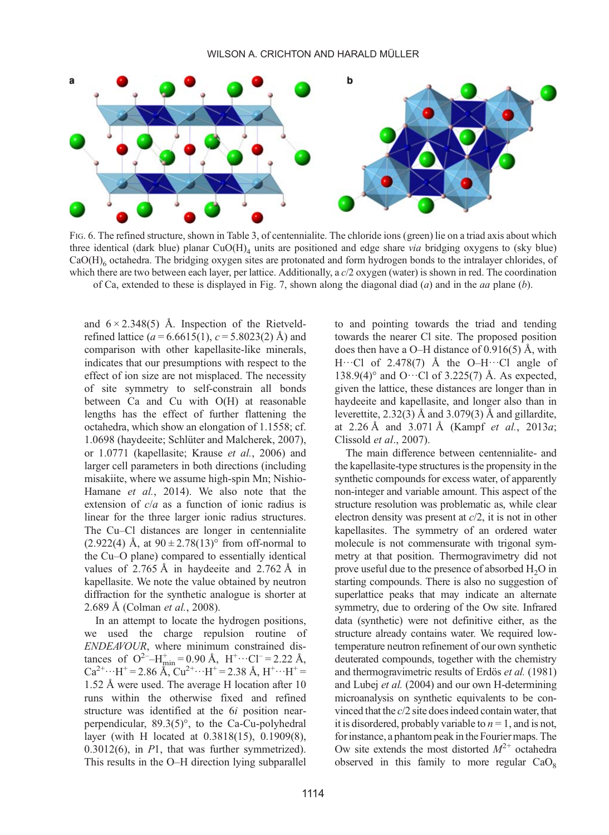<span id="page-9-0"></span>

FIG. 6. The refined structure, shown in [Table 3](#page-6-0), of centennialite. The chloride ions (green) lie on a triad axis about which three identical (dark blue) planar  $CuO(H)_{4}$  units are positioned and edge share via bridging oxygens to (sky blue) CaO(H)<sub>6</sub> octahedra. The bridging oxygen sites are protonated and form hydrogen bonds to the intralayer chlorides, of which there are two between each layer, per lattice. Additionally, a  $c/2$  oxygen (water) is shown in red. The coordination of Ca, extended to these is displayed in [Fig. 7,](#page-10-0) shown along the diagonal diad (a) and in the aa plane (b).

and  $6 \times 2.348(5)$  Å. Inspection of the Rietveldrefined lattice ( $a = 6.6615(1)$ ,  $c = 5.8023(2)$  Å) and comparison with other kapellasite-like minerals, indicates that our presumptions with respect to the effect of ion size are not misplaced. The necessity of site symmetry to self-constrain all bonds between Ca and Cu with O(H) at reasonable lengths has the effect of further flattening the octahedra, which show an elongation of 1.1558; cf. 1.0698 (haydeeite; [Schlüter and Malcherek, 2007](#page-19-0)), or 1.0771 (kapellasite; [Krause](#page-18-0) et al., 2006) and larger cell parameters in both directions (including misakiite, where we assume high-spin Mn; [Nishio-](#page-19-0)[Hamane](#page-19-0) et al., 2014). We also note that the extension of  $c/a$  as a function of ionic radius is linear for the three larger ionic radius structures. The Cu–Cl distances are longer in centennialite (2.922(4) Å, at  $90 \pm 2.78(13)$ ° from off-normal to the Cu–O plane) compared to essentially identical values of 2.765 Å in haydeeite and 2.762 Å in kapellasite. We note the value obtained by neutron diffraction for the synthetic analogue is shorter at 2.689 Å [\(Colman](#page-18-0) et al., 2008).

In an attempt to locate the hydrogen positions, we used the charge repulsion routine of ENDEAVOUR, where minimum constrained distances of  $Q^2-H_{\text{min}}^+=0.90 \text{ Å}, H^+\cdots Cl^-=2.22 \text{ Å},$  $Ca^{2+} \cdots H^{+} = 2.86 \text{ Å}, Cu^{2+} \cdots H^{+} = 2.38 \text{ Å}, H^{+} \cdots H^{+} =$ 1.52 Å were used. The average H location after 10 runs within the otherwise fixed and refined structure was identified at the 6i position nearperpendicular, 89.3(5)°, to the Ca-Cu-polyhedral layer (with H located at 0.3818(15), 0.1909(8), 0.3012(6), in P1, that was further symmetrized). This results in the O–H direction lying subparallel

to and pointing towards the triad and tending towards the nearer Cl site. The proposed position does then have a O–H distance of 0.916(5) Å, with H $\cdots$ Cl of 2.478(7) Å the O–H $\cdots$ Cl angle of 138.9(4) $^{\circ}$  and O…Cl of 3.225(7) Å. As expected, given the lattice, these distances are longer than in haydeeite and kapellasite, and longer also than in leverettite,  $2.32(3)$  Å and  $3.079(3)$  Å and gillardite, at 2.26 Å and 3.071 Å (Kampf et al.[, 2013](#page-18-0)a; [Clissold](#page-18-0) et al., 2007).

The main difference between centennialite- and the kapellasite-type structures is the propensity in the synthetic compounds for excess water, of apparently non-integer and variable amount. This aspect of the structure resolution was problematic as, while clear electron density was present at  $c/2$ , it is not in other kapellasites. The symmetry of an ordered water molecule is not commensurate with trigonal symmetry at that position. Thermogravimetry did not prove useful due to the presence of absorbed  $H_2O$  in starting compounds. There is also no suggestion of superlattice peaks that may indicate an alternate symmetry, due to ordering of the Ow site. Infrared data (synthetic) were not definitive either, as the structure already contains water. We required lowtemperature neutron refinement of our own synthetic deuterated compounds, together with the chemistry and thermogravimetric results of Erdös et al. [\(1981\)](#page-18-0) and Lubej et al. [\(2004\)](#page-19-0) and our own H-determining microanalysis on synthetic equivalents to be convinced that the c/2 site does indeed contain water, that it is disordered, probably variable to  $n = 1$ , and is not, for instance, a phantom peak in the Fourier maps. The Ow site extends the most distorted  $M^{2+}$  octahedra observed in this family to more regular  $CaO<sub>8</sub>$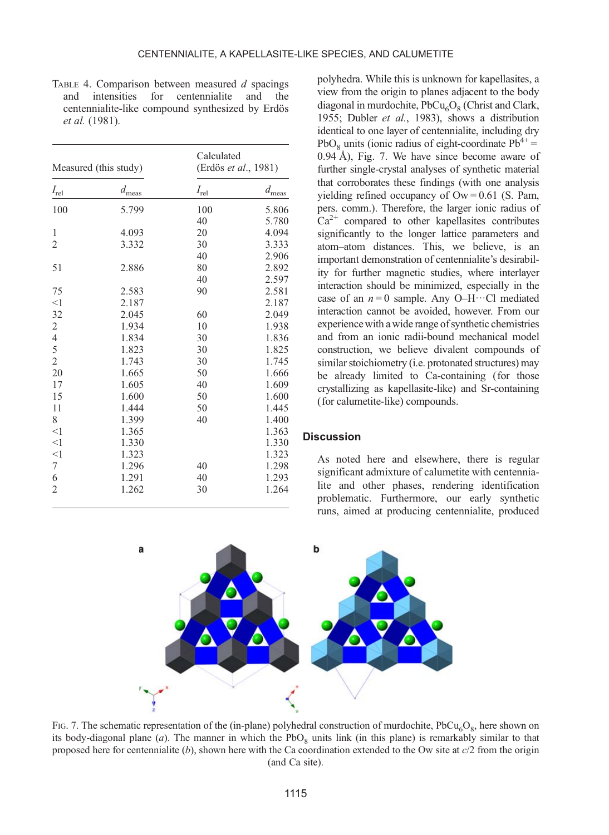<span id="page-10-0"></span>TABLE 4. Comparison between measured  $d$  spacings and intensities for centennialite and the and intensities for centennialite and the centennialite-like compound synthesized by Erdös et al. (1981).

|                  | Measured (this study) | Calculated<br>(Erdös et al., 1981) |                |
|------------------|-----------------------|------------------------------------|----------------|
| $I_{\text{rel}}$ | $d_{\rm meas}$        | $I_{\rm rel}$                      | $d_{\rm meas}$ |
| 100              | 5.799                 | 100                                | 5.806          |
|                  |                       | 40                                 | 5.780          |
| 1                | 4.093                 | 20                                 | 4.094          |
| $\overline{2}$   | 3.332                 | 30                                 | 3.333          |
|                  |                       | 40                                 | 2.906          |
| 51               | 2.886                 | 80                                 | 2.892          |
|                  |                       | 40                                 | 2.597          |
| 75               | 2.583                 | 90                                 | 2.581          |
| <1               | 2.187                 |                                    | 2.187          |
| 32               | 2.045                 | 60                                 | 2.049          |
| $\frac{2}{4}$    | 1.934                 | 10                                 | 1.938          |
|                  | 1.834                 | 30                                 | 1.836          |
| 5                | 1.823                 | 30                                 | 1.825          |
| $\overline{2}$   | 1.743                 | 30                                 | 1.745          |
| 20               | 1.665                 | 50                                 | 1.666          |
| 17               | 1.605                 | 40                                 | 1.609          |
| 15               | 1.600                 | 50                                 | 1.600          |
| 11               | 1.444                 | 50                                 | 1.445          |
| 8                | 1.399                 | 40                                 | 1.400          |
| $<$ 1            | 1.365                 |                                    | 1.363          |
| <1               | 1.330                 |                                    | 1.330          |
| <1               | 1.323                 |                                    | 1.323          |
| 7                | 1.296                 | 40                                 | 1.298          |
| 6                | 1.291                 | 40                                 | 1.293          |
| $\overline{2}$   | 1.262                 | 30                                 | 1.264          |

polyhedra. While this is unknown for kapellasites, a view from the origin to planes adjacent to the body diagonal in murdochite,  $PbCu<sub>6</sub>O<sub>8</sub>$  [\(Christ and Clark,](#page-18-0) [1955](#page-18-0); [Dubler](#page-18-0) et al., 1983), shows a distribution identical to one layer of centennialite, including dry PbO<sub>9</sub> units (ionic radius of eight-coordinate  $Pb^{4+} =$ 0.94 Å), Fig. 7. We have since become aware of further single-crystal analyses of synthetic material that corroborates these findings (with one analysis yielding refined occupancy of  $\text{Ow} = 0.61$  (S. Pam, pers. comm.). Therefore, the larger ionic radius of  $Ca<sup>2+</sup>$  compared to other kapellasites contributes significantly to the longer lattice parameters and atom–atom distances. This, we believe, is an important demonstration of centennialite's desirability for further magnetic studies, where interlayer interaction should be minimized, especially in the case of an  $n = 0$  sample. Any O–H $\cdots$ Cl mediated interaction cannot be avoided, however. From our experience with a wide range of synthetic chemistries and from an ionic radii-bound mechanical model construction, we believe divalent compounds of similar stoichiometry (i.e. protonated structures) may be already limited to Ca-containing (for those crystallizing as kapellasite-like) and Sr-containing (for calumetite-like) compounds.

#### **Discussion**

As noted here and elsewhere, there is regular significant admixture of calumetite with centennialite and other phases, rendering identification problematic. Furthermore, our early synthetic runs, aimed at producing centennialite, produced



FIG. 7. The schematic representation of the (in-plane) polyhedral construction of murdochite,  $PbCu<sub>6</sub>O<sub>8</sub>$ , here shown on its body-diagonal plane (a). The manner in which the  $PbO_8$  units link (in this plane) is remarkably similar to that proposed here for centennialite  $(b)$ , shown here with the Ca coordination extended to the Ow site at  $c/2$  from the origin (and Ca site).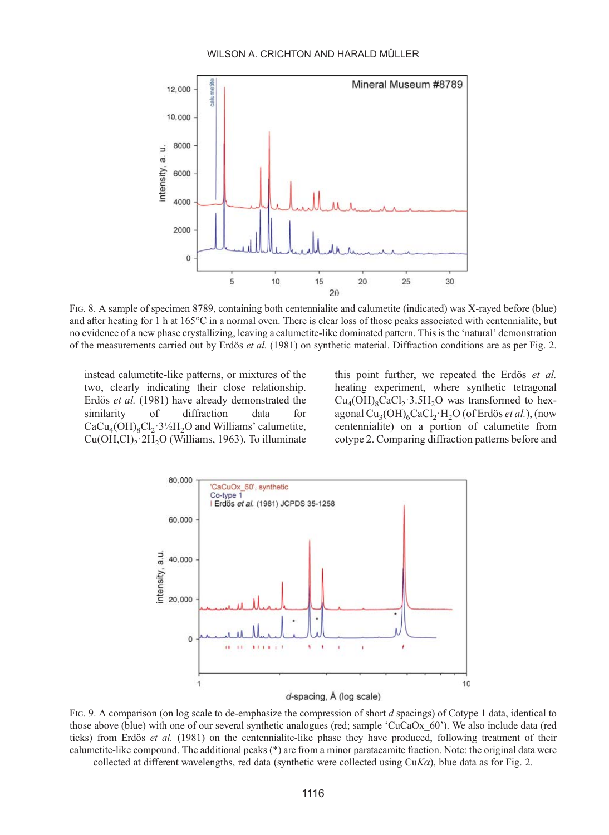#### WILSON A. CRICHTON AND HARALD MÜLLER

<span id="page-11-0"></span>

FIG. 8. A sample of specimen 8789, containing both centennialite and calumetite (indicated) was X-rayed before (blue) and after heating for 1 h at 165°C in a normal oven. There is clear loss of those peaks associated with centennialite, but no evidence of a new phase crystallizing, leaving a calumetite-like dominated pattern. This is the 'natural' demonstration of the measurements carried out by Erdös et al. [\(1981\)](#page-18-0) on synthetic material. Diffraction conditions are as per [Fig. 2](#page-7-0).

instead calumetite-like patterns, or mixtures of the two, clearly indicating their close relationship. Erdös et al. [\(1981\)](#page-18-0) have already demonstrated the similarity of diffraction data for  $CaCu<sub>4</sub>(OH)<sub>8</sub>Cl<sub>2</sub>·3½H<sub>2</sub>O$  and Williams' calumetite,  $Cu(OH, Cl)_{2} \cdot 2H_{2}O$  [\(Williams, 1963](#page-19-0)). To illuminate

this point further, we repeated the Erdös et al. heating experiment, where synthetic tetragonal  $Cu<sub>4</sub>(OH)<sub>8</sub>CaCl<sub>2</sub>·3.5H<sub>2</sub>O$  was transformed to hexagonal  $Cu<sub>3</sub>(OH)<sub>6</sub>CaCl<sub>2</sub>·H<sub>2</sub>O$  (of Erdös *et al.*), (now centennialite) on a portion of calumetite from cotype 2. Comparing diffraction patterns before and



d-spacing, Å (log scale)

FIG. 9. A comparison (on log scale to de-emphasize the compression of short d spacings) of Cotype 1 data, identical to those above (blue) with one of our several synthetic analogues (red; sample 'CuCaOx\_60'). We also include data (red ticks) from Erdös et al. [\(1981\)](#page-18-0) on the centennialite-like phase they have produced, following treatment of their calumetite-like compound. The additional peaks (\*) are from a minor paratacamite fraction. Note: the original data were collected at different wavelengths, red data (synthetic were collected using  $CuKa$ ), blue data as for [Fig. 2](#page-7-0).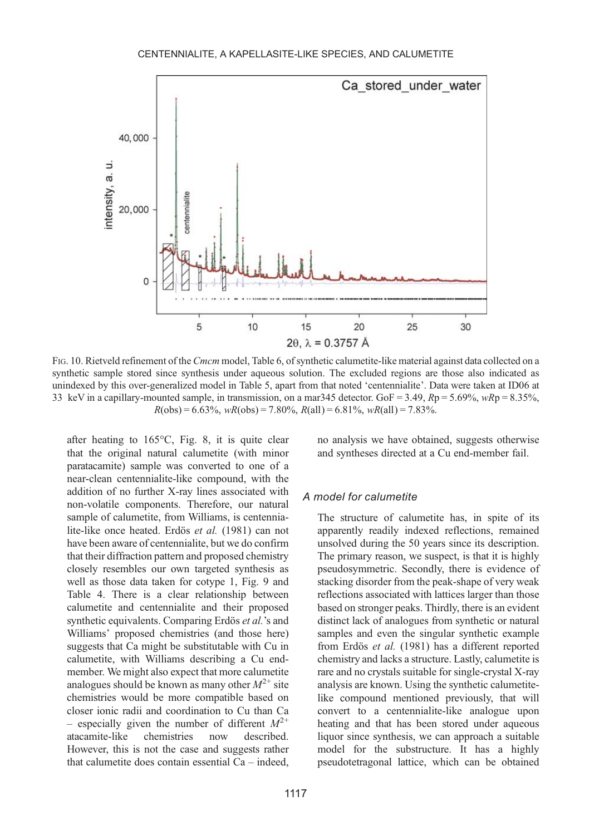<span id="page-12-0"></span>

FIG. 10. Rietveld refinement of the Cmcm model, [Table 6](#page-15-0), of synthetic calumetite-like material against data collected on a synthetic sample stored since synthesis under aqueous solution. The excluded regions are those also indicated as unindexed by this over-generalized model in [Table 5,](#page-13-0) apart from that noted 'centennialite'. Data were taken at ID06 at 33 keV in a capillary-mounted sample, in transmission, on a mar345 detector. GoF = 3.49,  $Rp = 5.69\%$ ,  $wRp = 8.35\%$ ,  $R(obs) = 6.63\%, wR(obs) = 7.80\%, R(all) = 6.81\%, wR(all) = 7.83\%.$ 

after heating to 165°C, [Fig. 8,](#page-11-0) it is quite clear that the original natural calumetite (with minor paratacamite) sample was converted to one of a near-clean centennialite-like compound, with the addition of no further X-ray lines associated with non-volatile components. Therefore, our natural sample of calumetite, from Williams, is centennialite-like once heated. Erdös et al. [\(1981\)](#page-18-0) can not have been aware of centennialite, but we do confirm that their diffraction pattern and proposed chemistry closely resembles our own targeted synthesis as well as those data taken for cotype 1, [Fig. 9](#page-11-0) and [Table 4.](#page-10-0) There is a clear relationship between calumetite and centennialite and their proposed synthetic equivalents. Comparing Erdös et al.'s and Williams' proposed chemistries (and those here) suggests that Ca might be substitutable with Cu in calumetite, with Williams describing a Cu endmember. We might also expect that more calumetite analogues should be known as many other  $M^{2+}$  site chemistries would be more compatible based on closer ionic radii and coordination to Cu than Ca – especially given the number of different  $M^{2+}$ atacamite-like chemistries now described. However, this is not the case and suggests rather that calumetite does contain essential Ca – indeed,

no analysis we have obtained, suggests otherwise and syntheses directed at a Cu end-member fail.

# A model for calumetite

The structure of calumetite has, in spite of its apparently readily indexed reflections, remained unsolved during the 50 years since its description. The primary reason, we suspect, is that it is highly pseudosymmetric. Secondly, there is evidence of stacking disorder from the peak-shape of very weak reflections associated with lattices larger than those based on stronger peaks. Thirdly, there is an evident distinct lack of analogues from synthetic or natural samples and even the singular synthetic example from Erdös et al. [\(1981\)](#page-18-0) has a different reported chemistry and lacks a structure. Lastly, calumetite is rare and no crystals suitable for single-crystal X-ray analysis are known. Using the synthetic calumetitelike compound mentioned previously, that will convert to a centennialite-like analogue upon heating and that has been stored under aqueous liquor since synthesis, we can approach a suitable model for the substructure. It has a highly pseudotetragonal lattice, which can be obtained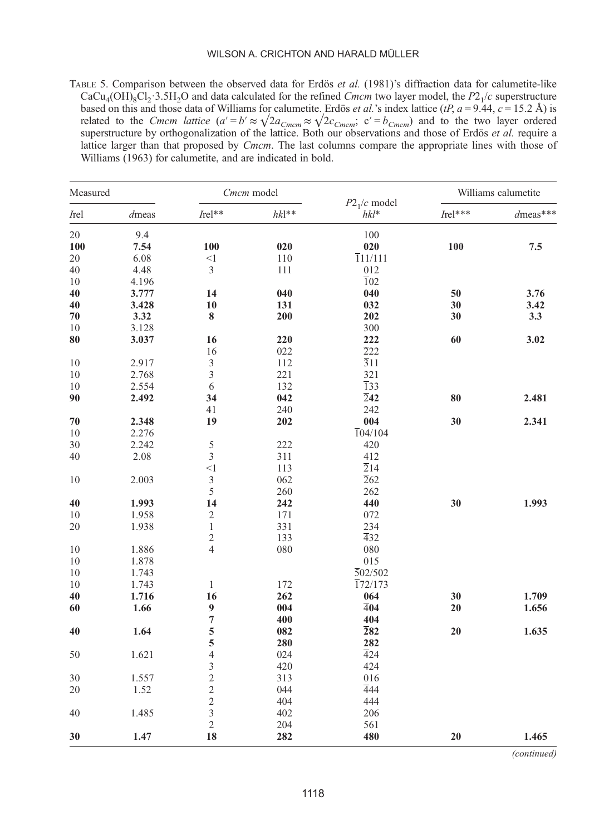<span id="page-13-0"></span>TABLE 5. Comparison between the observed data for Erdös et al. (1981)'s diffraction data for calumetite-like  $CaCu<sub>4</sub>(OH)<sub>8</sub>Cl<sub>2</sub>·3.5H<sub>2</sub>O$  and data calculated for the refined Cmcm two layer model, the  $P2<sub>1</sub>/c$  superstructure based on this and those data of Williams for calumetite. Erdös *et al.*'s index lattice (*tP*,  $a = 9.44$ ,  $c = 15.2$  Å) is related to the Cmcm lattice  $(a' = b' \approx \sqrt{2a_{Cmcm}} \approx \sqrt{2c_{Cmcm}}$ ,  $c' = b_{Cmcm}$  and to the two layer ordered superstructure by orthogonalization of the lattice. Both our observations and those of Erdös et al. require a lattice larger than that proposed by *Cmcm*. The last columns compare the appropriate lines with those of Williams (1963) for calumetite, and are indicated in bold.

| Measured |       | Cmcm model                                      |              |                          | Williams calumetite |             |
|----------|-------|-------------------------------------------------|--------------|--------------------------|---------------------|-------------|
| Irel     | dmeas | Irel**                                          | $h k l^{**}$ | $P21/c$ model<br>$hkl^*$ | $Irel***$           | $d$ meas*** |
| 20       | 9.4   |                                                 |              | 100                      |                     |             |
| 100      | 7.54  | 100                                             | 020          | 020                      | 100                 | 7.5         |
| 20       | 6.08  | $<$ 1                                           | 110          | $\overline{1}11/111$     |                     |             |
| 40       | 4.48  | 3                                               | 111          | 012                      |                     |             |
| $10\,$   | 4.196 |                                                 |              | $\overline{1}02$         |                     |             |
| 40       | 3.777 | 14                                              | 040          | 040                      | 50                  | 3.76        |
| 40       | 3.428 | 10                                              | 131          | 032                      | 30                  | 3.42        |
| $70\,$   | 3.32  | $\bf 8$                                         | 200          | 202                      | 30                  | 3.3         |
| 10       | 3.128 |                                                 |              | 300                      |                     |             |
| 80       | 3.037 | 16                                              | 220          | 222                      | 60                  | 3.02        |
|          |       | 16                                              | 022          | $\overline{2}22$         |                     |             |
| 10       | 2.917 | 3                                               | 112          | $\overline{3}11$         |                     |             |
| $10\,$   | 2.768 | 3                                               | 221          | 321                      |                     |             |
| 10       | 2.554 | 6                                               | 132          | $\overline{1}33$         |                     |             |
| 90       | 2.492 | 34                                              | 042          | $\overline{2}$ 42        | 80                  | 2.481       |
|          |       | 41                                              | 240          | 242                      |                     |             |
| 70       | 2.348 | 19                                              | 202          | 004                      | 30                  | 2.341       |
| 10       | 2.276 |                                                 |              | 104/104                  |                     |             |
| 30       | 2.242 | 5                                               | 222          | 420                      |                     |             |
| $40\,$   | 2.08  | 3                                               | 311          | 412                      |                     |             |
|          |       | <1                                              | 113          | $\overline{2}14$         |                     |             |
| 10       | 2.003 | $\mathfrak z$                                   | 062          | $\overline{2}62$         |                     |             |
|          |       | 5                                               | 260          | 262                      |                     |             |
| 40       | 1.993 | 14                                              | 242          | 440                      | 30                  | 1.993       |
| $10\,$   | 1.958 | $\sqrt{2}$                                      | 171          | 072                      |                     |             |
| 20       | 1.938 | $\mathbf{1}$                                    | 331          | 234                      |                     |             |
|          |       | $\overline{c}$                                  | 133          | $\overline{4}32$         |                     |             |
| 10       | 1.886 | $\overline{4}$                                  | 080          | 080                      |                     |             |
| 10       | 1.878 |                                                 |              | 015                      |                     |             |
| 10       | 1.743 |                                                 |              | $\overline{502}/502$     |                     |             |
| 10       | 1.743 | $\mathbf{1}$                                    | 172          | $\overline{172}/173$     |                     |             |
| 40       | 1.716 | 16                                              | 262          | 064                      | 30                  | 1.709       |
| 60       | 1.66  | $\boldsymbol{9}$                                | 004          | $\overline{4}04$         | 20                  | 1.656       |
|          |       | $\overline{7}$                                  | 400          | 404                      |                     |             |
| 40       | 1.64  | 5                                               | 082          | $\overline{2}82$         | 20                  | 1.635       |
|          |       | 5                                               | 280          | 282                      |                     |             |
| 50       | 1.621 | $\overline{4}$                                  | 024          | $\overline{4}24$         |                     |             |
|          |       | $\overline{3}$                                  | 420          | 424                      |                     |             |
| 30       | 1.557 |                                                 | 313          | 016                      |                     |             |
| 20       | 1.52  | $\begin{array}{c} 2 \\ 2 \\ 2 \\ 3 \end{array}$ | 044          | 444                      |                     |             |
|          |       |                                                 | 404          | 444                      |                     |             |
| 40       | 1.485 |                                                 | 402          | 206                      |                     |             |
|          |       | $\overline{c}$                                  | 204          | 561                      |                     |             |
| 30       | 1.47  | 18                                              | 282          | 480                      | 20                  | 1.465       |

(continued)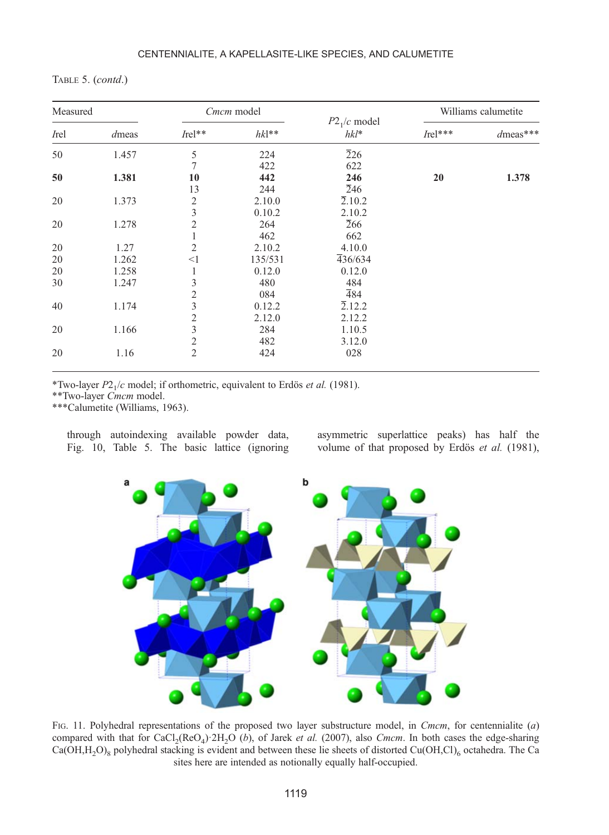<span id="page-14-0"></span>

| TABLE 5. $(contd.)$ |  |  |
|---------------------|--|--|
|---------------------|--|--|

| Measured |       | Cmcm model              |         |                          |           | Williams calumetite |  |
|----------|-------|-------------------------|---------|--------------------------|-----------|---------------------|--|
| Irel     | dmeas | $Irel**$                | $hk1**$ | $P21/c$ model<br>$hkl^*$ | $Irel***$ | $d$ meas***         |  |
| 50       | 1.457 | 5                       | 224     | $\overline{2}26$         |           |                     |  |
|          |       | 7                       | 422     | 622                      |           |                     |  |
| 50       | 1.381 | 10                      | 442     | 246                      | 20        | 1.378               |  |
|          |       | 13                      | 244     | 246                      |           |                     |  |
| 20       | 1.373 | $\overline{2}$          | 2.10.0  | 2.10.2                   |           |                     |  |
|          |       | 3                       | 0.10.2  | 2.10.2                   |           |                     |  |
| 20       | 1.278 | $\overline{2}$          | 264     | 266                      |           |                     |  |
|          |       | 1                       | 462     | 662                      |           |                     |  |
| 20       | 1.27  | $\overline{c}$          | 2.10.2  | 4.10.0                   |           |                     |  |
| 20       | 1.262 | $<$ 1                   | 135/531 | 436/634                  |           |                     |  |
| 20       | 1.258 | 1                       | 0.12.0  | 0.12.0                   |           |                     |  |
| 30       | 1.247 | 3                       | 480     | 484                      |           |                     |  |
|          |       | $\overline{2}$          | 084     | $\overline{4}84$         |           |                     |  |
| 40       | 1.174 | 3                       | 0.12.2  | 2.12.2                   |           |                     |  |
|          |       | $\overline{\mathbf{c}}$ | 2.12.0  | 2.12.2                   |           |                     |  |
| 20       | 1.166 | $\overline{3}$          | 284     | 1.10.5                   |           |                     |  |
|          |       | $\mathfrak{2}$          | 482     | 3.12.0                   |           |                     |  |
| 20       | 1.16  | $\mathfrak{2}$          | 424     | 028                      |           |                     |  |

\*Two-layer  $P2_1/c$  model; if orthometric, equivalent to Erdös et al. (1981).

\*\*Two-layer Cmcm model.

\*\*\*Calumetite (Williams, 1963).

through autoindexing available powder data, [Fig. 10,](#page-12-0) [Table 5](#page-13-0). The basic lattice (ignoring asymmetric superlattice peaks) has half the volume of that proposed by Erdös et al. [\(1981\)](#page-18-0),



FIG. 11. Polyhedral representations of the proposed two layer substructure model, in Cmcm, for centennialite (a) compared with that for  $CaCl<sub>2</sub>(ReO<sub>4</sub>)$   $2H<sub>2</sub>O$  (b), of Jarek *et al.* [\(2007\),](#page-18-0) also Cmcm. In both cases the edge-sharing  $Ca(OH,H,O)_{8}$  polyhedral stacking is evident and between these lie sheets of distorted Cu(OH,Cl)<sub>6</sub> octahedra. The Ca sites here are intended as notionally equally half-occupied.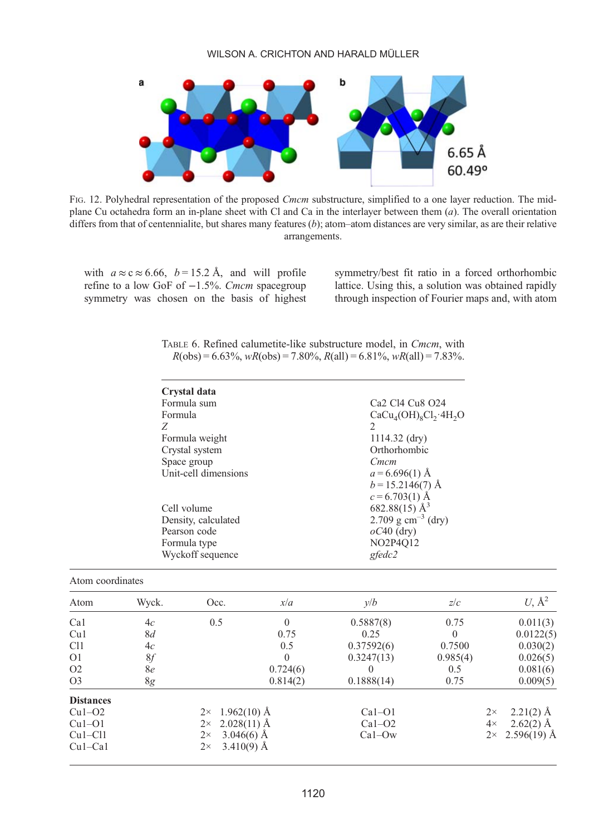<span id="page-15-0"></span>

FIG. 12. Polyhedral representation of the proposed *Cmcm* substructure, simplified to a one layer reduction. The midplane Cu octahedra form an in-plane sheet with Cl and Ca in the interlayer between them  $(a)$ . The overall orientation differs from that of centennialite, but shares many features  $(b)$ ; atom–atom distances are very similar, as are their relative arrangements.

with  $a \approx c \approx 6.66$ ,  $b = 15.2$  Å, and will profile refine to a low GoF of −1.5%. Cmcm spacegroup symmetry was chosen on the basis of highest

Atom coordinates

symmetry/best fit ratio in a forced orthorhombic lattice. Using this, a solution was obtained rapidly through inspection of Fourier maps and, with atom

|  | TABLE 6. Refined calumetite-like substructure model, in <i>Cmcm</i> , with |  |  |  |
|--|----------------------------------------------------------------------------|--|--|--|
|  | $R(obs) = 6.63\%, wR(obs) = 7.80\%, R(all) = 6.81\%, wR(all) = 7.83\%.$    |  |  |  |

| Crystal data         |                                                                             |
|----------------------|-----------------------------------------------------------------------------|
| Formula sum          | Ca <sub>2</sub> C <sub>14</sub> C <sub>u</sub> <sub>8</sub> O <sub>24</sub> |
| Formula              | $CaCu4(OH)8Cl3·4H2O$                                                        |
| Ζ                    | 2                                                                           |
| Formula weight       | $1114.32$ (dry)                                                             |
| Crystal system       | Orthorhombic                                                                |
| Space group          | Cmcm                                                                        |
| Unit-cell dimensions | $a = 6.696(1)$ Å                                                            |
|                      | $b = 15.2146(7)$ Å                                                          |
|                      | $c = 6.703(1)$ Å                                                            |
| Cell volume          | 682.88(15) $\AA^3$                                                          |
| Density, calculated  | 2.709 g cm <sup>-3</sup> (dry)                                              |
| Pearson code         | $oC40$ (dry)                                                                |
| Formula type         | NO2P4O12                                                                    |
| Wyckoff sequence     | $g$ fedc $2$                                                                |
|                      |                                                                             |

| 1 xw111 vooramato |       |                            |          |            |          |                          |
|-------------------|-------|----------------------------|----------|------------|----------|--------------------------|
| Atom              | Wyck. | Occ.                       | x/a      | y/b        | z/c      | $U, \mathring{A}^2$      |
| Ca1               | 4c    | 0.5                        | $\Omega$ | 0.5887(8)  | 0.75     | 0.011(3)                 |
| Cu1               | 8d    |                            | 0.75     | 0.25       | $\Omega$ | 0.0122(5)                |
| C <sub>1</sub>    | 4c    |                            | 0.5      | 0.37592(6) | 0.7500   | 0.030(2)                 |
| O <sub>1</sub>    | 8f    |                            | $\theta$ | 0.3247(13) | 0.985(4) | 0.026(5)                 |
| O <sub>2</sub>    | 8e    |                            | 0.724(6) | $\theta$   | 0.5      | 0.081(6)                 |
| O <sub>3</sub>    | 8g    |                            | 0.814(2) | 0.1888(14) | 0.75     | 0.009(5)                 |
| <b>Distances</b>  |       |                            |          |            |          |                          |
| $Cu1-O2$          |       | $1.962(10)$ Å<br>$2\times$ |          | $Ca1-O1$   |          | $2.21(2)$ Å<br>$2\times$ |
| $Cu1-O1$          |       | $2.028(11)$ Å<br>$2\times$ |          | $Ca1-O2$   |          | $2.62(2)$ Å<br>$4\times$ |
| $Cu1-C11$         |       | $3.046(6)$ Å<br>$2\times$  |          | $Ca1-Ow$   |          | $2 \times 2.596(19)$ Å   |
| $Cu1-Ca1$         |       | $3.410(9)$ Å<br>$2\times$  |          |            |          |                          |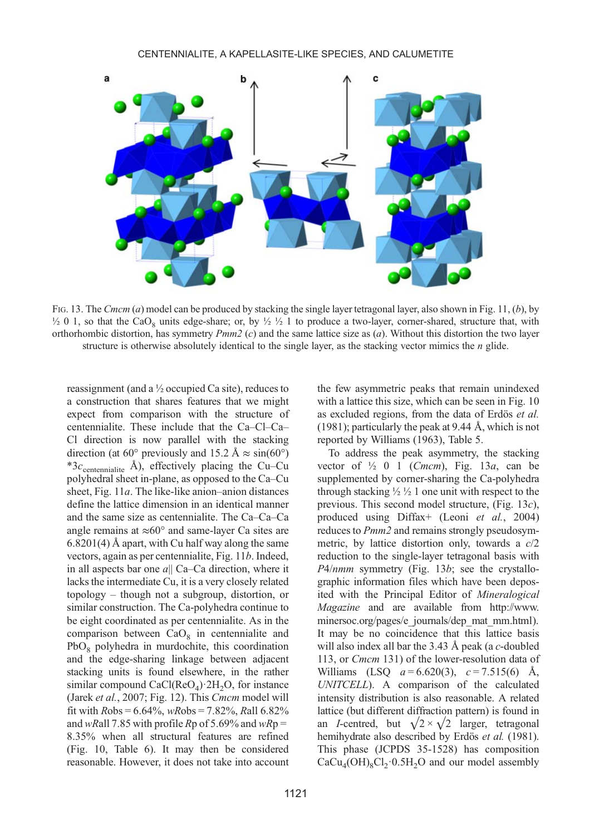

FIG. 13. The Cmcm (a) model can be produced by stacking the single layer tetragonal layer, also shown in [Fig. 11,](#page-14-0)  $(b)$ , by  $\frac{1}{2}$  0 1, so that the CaO<sub>s</sub> units edge-share; or, by  $\frac{1}{2}$   $\frac{1}{2}$  to produce a two-layer, corner-shared, structure that, with orthorhombic distortion, has symmetry  $Pmm2$  (c) and the same lattice size as (a). Without this distortion the two layer structure is otherwise absolutely identical to the single layer, as the stacking vector mimics the  $n$  glide.

reassignment (and a ½ occupied Ca site), reduces to a construction that shares features that we might expect from comparison with the structure of centennialite. These include that the Ca–Cl–Ca– Cl direction is now parallel with the stacking direction (at 60° previously and 15.2 Å  $\approx$  sin(60°) \*3 $c_{\text{centennialite}}$  Å), effectively placing the Cu–Cu polyhedral sheet in-plane, as opposed to the Ca–Cu sheet, [Fig. 11](#page-14-0)a. The like-like anion–anion distances define the lattice dimension in an identical manner and the same size as centennialite. The Ca–Ca–Ca angle remains at  $\approx 60^\circ$  and same-layer Ca sites are 6.8201(4) Å apart, with Cu half way along the same vectors, again as per centennialite, [Fig. 11](#page-14-0)b. Indeed, in all aspects bar one  $a||$  Ca–Ca direction, where it lacks the intermediate Cu, it is a very closely related topology – though not a subgroup, distortion, or similar construction. The Ca-polyhedra continue to be eight coordinated as per centennialite. As in the comparison between  $CaO<sub>8</sub>$  in centennialite and  $PbO_8$  polyhedra in murdochite, this coordination and the edge-sharing linkage between adjacent stacking units is found elsewhere, in the rather similar compound  $CaCl(ReO<sub>4</sub>) \cdot 2H<sub>2</sub>O$ , for instance (Jarek et al.[, 2007;](#page-18-0) [Fig. 12](#page-15-0)). This Cmcm model will fit with  $Robs = 6.64\%$ , wRobs = 7.82%, Rall 6.82% and wRall 7.85 with profile Rp of 5.69% and wRp = 8.35% when all structural features are refined [\(Fig. 10,](#page-12-0) [Table 6](#page-15-0)). It may then be considered reasonable. However, it does not take into account

Williams (LSQ  $a = 6.620(3)$ ,  $c = 7.515(6)$  Å,

UNITCELL). A comparison of the calculated intensity distribution is also reasonable. A related lattice (but different diffraction pattern) is found in an *I*-centred, but  $\sqrt{2} \times \sqrt{2}$  larger, tetragonal hemihydrate also described by Erdös et al. [\(1981\)](#page-18-0). This phase (JCPDS 35-1528) has composition  $CaCu<sub>4</sub>(OH)<sub>8</sub>Cl<sub>2</sub>·0.5H<sub>2</sub>O$  and our model assembly

the few asymmetric peaks that remain unindexed with a lattice this size, which can be seen in [Fig. 10](#page-12-0) as excluded regions, from the data of [Erdös](#page-18-0) et al. [\(1981\)](#page-18-0); particularly the peak at 9.44 Å, which is not

To address the peak asymmetry, the stacking vector of  $\frac{1}{2}$  0 1 (*Cmcm*), Fig. 13*a*, can be supplemented by corner-sharing the Ca-polyhedra through stacking  $\frac{1}{2}$   $\frac{1}{2}$  1 one unit with respect to the previous. This second model structure, (Fig. 13c), produced using Diffax+ (Leoni et al.[, 2004](#page-19-0)) reduces to Pmm2 and remains strongly pseudosymmetric, by lattice distortion only, towards a c/2 reduction to the single-layer tetragonal basis with P4/nmm symmetry (Fig. 13b; see the crystallographic information files which have been deposited with the Principal Editor of Mineralogical Magazine and are available from [http://www.](http://www.minersoc.org/pages/e_journals/dep_mat_mm.html) [minersoc.org/pages/e\\_journals/dep\\_mat\\_mm.html](http://www.minersoc.org/pages/e_journals/dep_mat_mm.html)). It may be no coincidence that this lattice basis will also index all bar the  $3.43 \text{ Å}$  peak (a c-doubled 113, or Cmcm 131) of the lower-resolution data of

reported by [Williams \(1963\)](#page-19-0), [Table 5.](#page-13-0)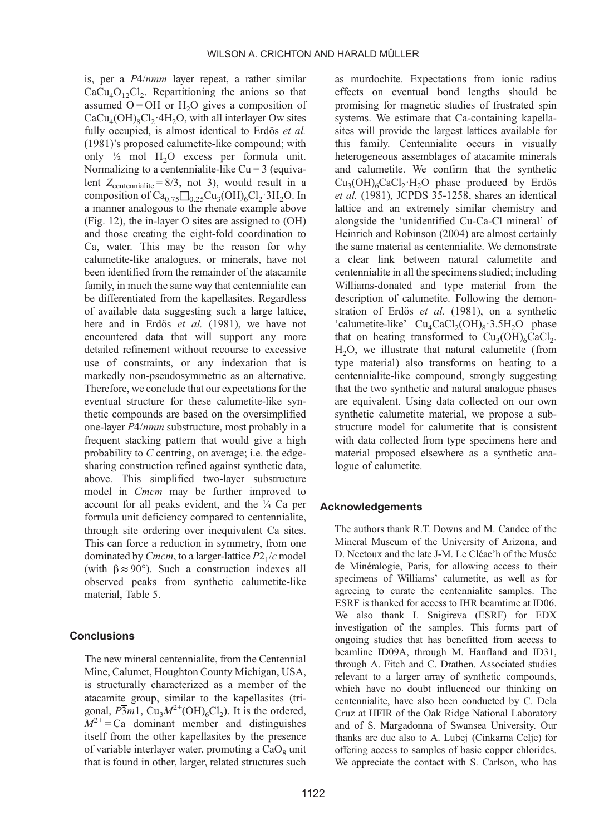is, per a P4/nmm layer repeat, a rather similar  $CaCu<sub>4</sub>O<sub>12</sub>Cl<sub>2</sub>$ . Repartitioning the anions so that assumed  $O = OH$  or  $H<sub>2</sub>O$  gives a composition of  $CaCu<sub>4</sub>(OH)<sub>8</sub>Cl<sub>2</sub>·4H<sub>2</sub>O$ , with all interlayer Ow sites fully occupied, is almost identical to [Erdös](#page-18-0) et al. [\(1981\)](#page-18-0)'s proposed calumetite-like compound; with only  $\frac{1}{2}$  mol H<sub>2</sub>O excess per formula unit. Normalizing to a centennialite-like  $Cu = 3$  (equivalent  $Z_{\text{centennialite}} = 8/3$ , not 3), would result in a composition of  $Ca_{0.75}\square_{0.25}Cu_3(OH)_6Cl_2.3H_2O.$  In a manner analogous to the rhenate example above ([Fig. 12](#page-15-0)), the in-layer O sites are assigned to (OH) and those creating the eight-fold coordination to Ca, water. This may be the reason for why calumetite-like analogues, or minerals, have not been identified from the remainder of the atacamite family, in much the same way that centennialite can be differentiated from the kapellasites. Regardless of available data suggesting such a large lattice, here and in Erdös et al. [\(1981\),](#page-18-0) we have not encountered data that will support any more detailed refinement without recourse to excessive use of constraints, or any indexation that is markedly non-pseudosymmetric as an alternative. Therefore, we conclude that our expectations for the eventual structure for these calumetite-like synthetic compounds are based on the oversimplified one-layer P4/nmm substructure, most probably in a frequent stacking pattern that would give a high probability to  $C$  centring, on average; i.e. the edgesharing construction refined against synthetic data, above. This simplified two-layer substructure model in *Cmcm* may be further improved to account for all peaks evident, and the ¼ Ca per formula unit deficiency compared to centennialite, through site ordering over inequivalent Ca sites. This can force a reduction in symmetry, from one dominated by *Cmcm*, to a larger-lattice  $P2<sub>1</sub>/c$  model (with  $\beta \approx 90^{\circ}$ ). Such a construction indexes all observed peaks from synthetic calumetite-like material, [Table 5.](#page-13-0)

# **Conclusions**

The new mineral centennialite, from the Centennial Mine, Calumet, Houghton County Michigan, USA, is structurally characterized as a member of the atacamite group, similar to the kapellasites (trigonal,  $\overline{P3}m1$ , Cu<sub>3</sub> $M^{2+}(\text{OH})_6\text{Cl}_2$ ). It is the ordered,  $M^{2+}$  = Ca dominant member and distinguishes itself from the other kapellasites by the presence of variable interlayer water, promoting a  $CaO<sub>s</sub>$  unit that is found in other, larger, related structures such as murdochite. Expectations from ionic radius effects on eventual bond lengths should be promising for magnetic studies of frustrated spin systems. We estimate that Ca-containing kapellasites will provide the largest lattices available for this family. Centennialite occurs in visually heterogeneous assemblages of atacamite minerals and calumetite. We confirm that the synthetic  $Cu<sub>2</sub>(OH)<sub>6</sub>CaCl<sub>2</sub>·H<sub>2</sub>O$  phase produced by [Erdös](#page-18-0) et al. [\(1981\),](#page-18-0) JCPDS 35-1258, shares an identical lattice and an extremely similar chemistry and alongside the 'unidentified Cu-Ca-Cl mineral' of [Heinrich and Robinson \(2004\)](#page-18-0) are almost certainly the same material as centennialite. We demonstrate a clear link between natural calumetite and centennialite in all the specimens studied; including Williams-donated and type material from the description of calumetite. Following the demonstration of Erdös et al. [\(1981\)](#page-18-0), on a synthetic 'calumetite-like'  $Cu<sub>4</sub>CaCl<sub>2</sub>(OH)<sub>8</sub>·3.5H<sub>2</sub>O$  phase that on heating transformed to  $Cu<sub>2</sub>(OH)<sub>6</sub>CaCl<sub>2</sub>$ . H2O, we illustrate that natural calumetite (from type material) also transforms on heating to a centennialite-like compound, strongly suggesting that the two synthetic and natural analogue phases are equivalent. Using data collected on our own synthetic calumetite material, we propose a substructure model for calumetite that is consistent with data collected from type specimens here and material proposed elsewhere as a synthetic analogue of calumetite.

#### Acknowledgements

The authors thank R.T. Downs and M. Candee of the Mineral Museum of the University of Arizona, and D. Nectoux and the late J-M. Le Cléac'h of the Musée de Minéralogie, Paris, for allowing access to their specimens of Williams' calumetite, as well as for agreeing to curate the centennialite samples. The ESRF is thanked for access to IHR beamtime at ID06. We also thank I. Snigireva (ESRF) for EDX investigation of the samples. This forms part of ongoing studies that has benefitted from access to beamline ID09A, through M. Hanfland and ID31, through A. Fitch and C. Drathen. Associated studies relevant to a larger array of synthetic compounds, which have no doubt influenced our thinking on centennialite, have also been conducted by C. Dela Cruz at HFIR of the Oak Ridge National Laboratory and of S. Margadonna of Swansea University. Our thanks are due also to A. Lubej (Cinkarna Celje) for offering access to samples of basic copper chlorides. We appreciate the contact with S. Carlson, who has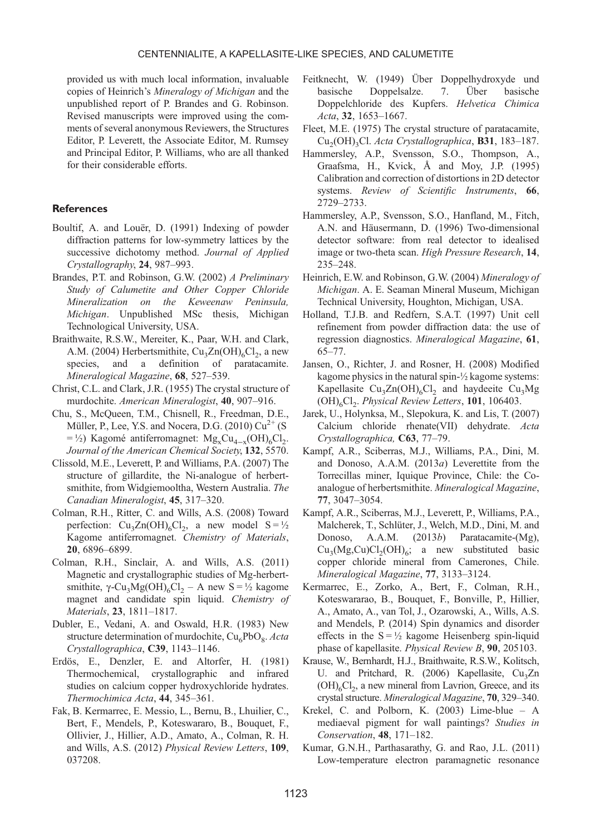<span id="page-18-0"></span>provided us with much local information, invaluable copies of Heinrich's Mineralogy of Michigan and the unpublished report of P. Brandes and G. Robinson. Revised manuscripts were improved using the comments of several anonymous Reviewers, the Structures Editor, P. Leverett, the Associate Editor, M. Rumsey and Principal Editor, P. Williams, who are all thanked for their considerable efforts.

#### **References**

- Boultif, A. and Louër, D. (1991) Indexing of powder diffraction patterns for low-symmetry lattices by the successive dichotomy method. Journal of Applied Crystallography, 24, 987–993.
- Brandes, P.T. and Robinson, G.W. (2002) A Preliminary Study of Calumetite and Other Copper Chloride Mineralization on the Keweenaw Peninsula, Michigan. Unpublished MSc thesis, Michigan Technological University, USA.
- Braithwaite, R.S.W., Mereiter, K., Paar, W.H. and Clark, A.M. (2004) Herbertsmithite,  $Cu<sub>3</sub>Zn(OH)<sub>6</sub>Cl<sub>2</sub>$ , a new species, and a definition of paratacamite. Mineralogical Magazine, 68, 527–539.
- Christ, C.L. and Clark, J.R. (1955) The crystal structure of murdochite. American Mineralogist, 40, 907–916.
- Chu, S., McQueen, T.M., Chisnell, R., Freedman, D.E., Müller, P., Lee, Y.S. and Nocera, D.G. (2010)  $Cu^{2+}$  (S  $= \frac{1}{2}$ ) Kagomé antiferromagnet: Mg<sub>x</sub>Cu<sub>4-x</sub>(OH)<sub>6</sub>Cl<sub>2</sub>. Journal of the American Chemical Society, 132, 5570.
- Clissold, M.E., Leverett, P. and Williams, P.A. (2007) The structure of gillardite, the Ni-analogue of herbertsmithite, from Widgiemooltha, Western Australia. The Canadian Mineralogist, 45, 317–320.
- Colman, R.H., Ritter, C. and Wills, A.S. (2008) Toward perfection:  $Cu_3Zn(OH)_6Cl_2$ , a new model  $S = \frac{1}{2}$ Kagome antiferromagnet. Chemistry of Materials, 20, 6896–6899.
- Colman, R.H., Sinclair, A. and Wills, A.S. (2011) Magnetic and crystallographic studies of Mg-herbertsmithite,  $\gamma$ -Cu<sub>3</sub>Mg(OH)<sub>6</sub>Cl<sub>2</sub> – A new S =  $\frac{1}{2}$  kagome magnet and candidate spin liquid. Chemistry of Materials, 23, 1811–1817.
- Dubler, E., Vedani, A. and Oswald, H.R. (1983) New structure determination of murdochite,  $Cu<sub>6</sub>PbO<sub>8</sub>$ . Acta Crystallographica, C39, 1143–1146.
- Erdös, E., Denzler, E. and Altorfer, H. (1981) Thermochemical, crystallographic and infrared studies on calcium copper hydroxychloride hydrates. Thermochimica Acta, 44, 345–361.
- Fak, B. Kermarrec, E. Messio, L., Bernu, B., Lhuilier, C., Bert, F., Mendels, P., Koteswararo, B., Bouquet, F., Ollivier, J., Hillier, A.D., Amato, A., Colman, R. H. and Wills, A.S. (2012) Physical Review Letters, 109, 037208.
- Feitknecht, W. (1949) Über Doppelhydroxyde und basische Doppelsalze. 7. Über basische Doppelchloride des Kupfers. Helvetica Chimica Acta, 32, 1653–1667.
- Fleet, M.E. (1975) The crystal structure of paratacamite, Cu<sub>2</sub>(OH)<sub>2</sub>Cl. Acta Crystallographica, B31, 183-187.
- Hammersley, A.P., Svensson, S.O., Thompson, A., Graafsma, H., Kvick, Å and Moy, J.P. (1995) Calibration and correction of distortions in 2D detector systems. Review of Scientific Instruments, 66, 2729–2733.
- Hammersley, A.P., Svensson, S.O., Hanfland, M., Fitch, A.N. and Häusermann, D. (1996) Two-dimensional detector software: from real detector to idealised image or two-theta scan. High Pressure Research, 14, 235–248.
- Heinrich, E.W. and Robinson, G.W. (2004) Mineralogy of Michigan. A. E. Seaman Mineral Museum, Michigan Technical University, Houghton, Michigan, USA.
- Holland, T.J.B. and Redfern, S.A.T. (1997) Unit cell refinement from powder diffraction data: the use of regression diagnostics. Mineralogical Magazine, 61, 65–77.
- Jansen, O., Richter, J. and Rosner, H. (2008) Modified kagome physics in the natural spin-½ kagome systems: Kapellasite  $Cu_3Zn(OH)_6Cl_2$  and haydeeite  $Cu_3Mg$  $(OH)_{6}Cl_{2}$ . Physical Review Letters, 101, 106403.
- Jarek, U., Holynksa, M., Slepokura, K. and Lis, T. (2007) Calcium chloride rhenate(VII) dehydrate. Acta Crystallographica, C63, 77–79.
- Kampf, A.R., Sciberras, M.J., Williams, P.A., Dini, M. and Donoso, A.A.M. (2013a) Leverettite from the Torrecillas miner, Iquique Province, Chile: the Coanalogue of herbertsmithite. Mineralogical Magazine, 77, 3047–3054.
- Kampf, A.R., Sciberras, M.J., Leverett, P., Williams, P.A., Malcherek, T., Schlüter, J., Welch, M.D., Dini, M. and Donoso, A.A.M. (2013b) Paratacamite-(Mg),  $Cu<sub>3</sub>(Mg,Cu)Cl<sub>2</sub>(OH)<sub>6</sub>; a new substituted basic$ copper chloride mineral from Camerones, Chile. Mineralogical Magazine, 77, 3133–3124.
- Kermarrec, E., Zorko, A., Bert, F., Colman, R.H., Koteswararao, B., Bouquet, F., Bonville, P., Hillier, A., Amato, A., van Tol, J., Ozarowski, A., Wills, A.S. and Mendels, P. (2014) Spin dynamics and disorder effects in the  $S = \frac{1}{2}$  kagome Heisenberg spin-liquid phase of kapellasite. Physical Review B, 90, 205103.
- Krause, W., Bernhardt, H.J., Braithwaite, R.S.W., Kolitsch, U. and Pritchard, R. (2006) Kapellasite, Cu<sub>3</sub>Zn  $(OH)_{6}Cl_{2}$ , a new mineral from Lavrion, Greece, and its crystal structure. Mineralogical Magazine, 70, 329–340.
- Krekel, C. and Polborn, K. (2003) Lime-blue A mediaeval pigment for wall paintings? Studies in Conservation, 48, 171–182.
- Kumar, G.N.H., Parthasarathy, G. and Rao, J.L. (2011) Low-temperature electron paramagnetic resonance